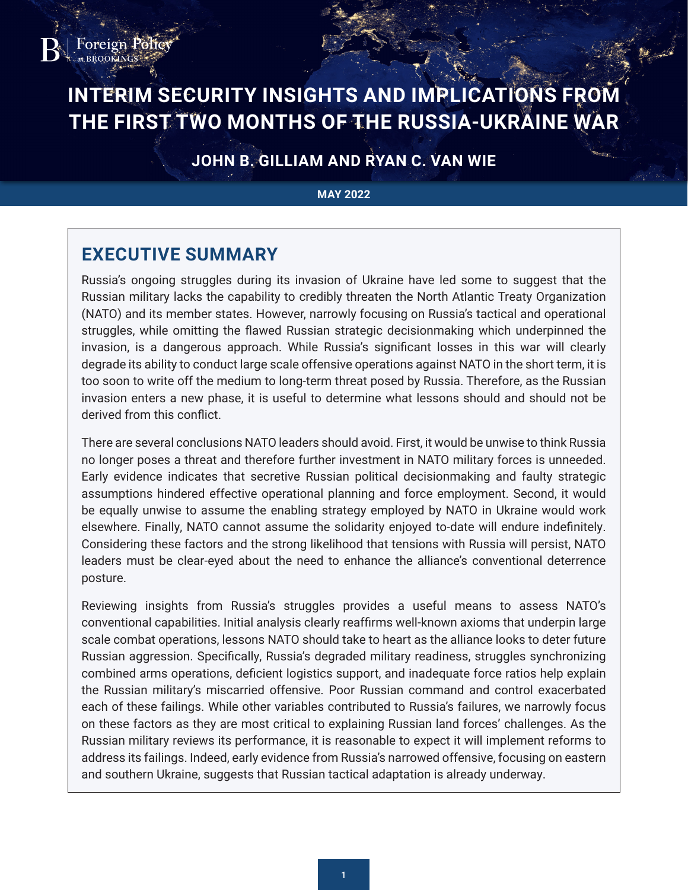

# **INTERIM SECURITY INSIGHTS AND IMPLICATIONS FROM THE FIRST TWO MONTHS OF THE RUSSIA-UKRAINE WAR**

**JOHN B. GILLIAM AND RYAN C. VAN WIE**

#### **MAY 2022**

# **EXECUTIVE SUMMARY**

Russia's ongoing struggles during its invasion of Ukraine have led some to suggest that the Russian military lacks the capability to credibly threaten the North Atlantic Treaty Organization (NATO) and its member states. However, narrowly focusing on Russia's tactical and operational struggles, while omitting the flawed Russian strategic decisionmaking which underpinned the invasion, is a dangerous approach. While Russia's significant losses in this war will clearly degrade its ability to conduct large scale offensive operations against NATO in the short term, it is too soon to write off the medium to long-term threat posed by Russia. Therefore, as the Russian invasion enters a new phase, it is useful to determine what lessons should and should not be derived from this conflict.

There are several conclusions NATO leaders should avoid. First, it would be unwise to think Russia no longer poses a threat and therefore further investment in NATO military forces is unneeded. Early evidence indicates that secretive Russian political decisionmaking and faulty strategic assumptions hindered effective operational planning and force employment. Second, it would be equally unwise to assume the enabling strategy employed by NATO in Ukraine would work elsewhere. Finally, NATO cannot assume the solidarity enjoyed to-date will endure indefinitely. Considering these factors and the strong likelihood that tensions with Russia will persist, NATO leaders must be clear-eyed about the need to enhance the alliance's conventional deterrence posture.

Reviewing insights from Russia's struggles provides a useful means to assess NATO's conventional capabilities. Initial analysis clearly reaffirms well-known axioms that underpin large scale combat operations, lessons NATO should take to heart as the alliance looks to deter future Russian aggression. Specifically, Russia's degraded military readiness, struggles synchronizing combined arms operations, deficient logistics support, and inadequate force ratios help explain the Russian military's miscarried offensive. Poor Russian command and control exacerbated each of these failings. While other variables contributed to Russia's failures, we narrowly focus on these factors as they are most critical to explaining Russian land forces' challenges. As the Russian military reviews its performance, it is reasonable to expect it will implement reforms to address its failings. Indeed, early evidence from Russia's narrowed offensive, focusing on eastern and southern Ukraine, suggests that Russian tactical adaptation is already underway.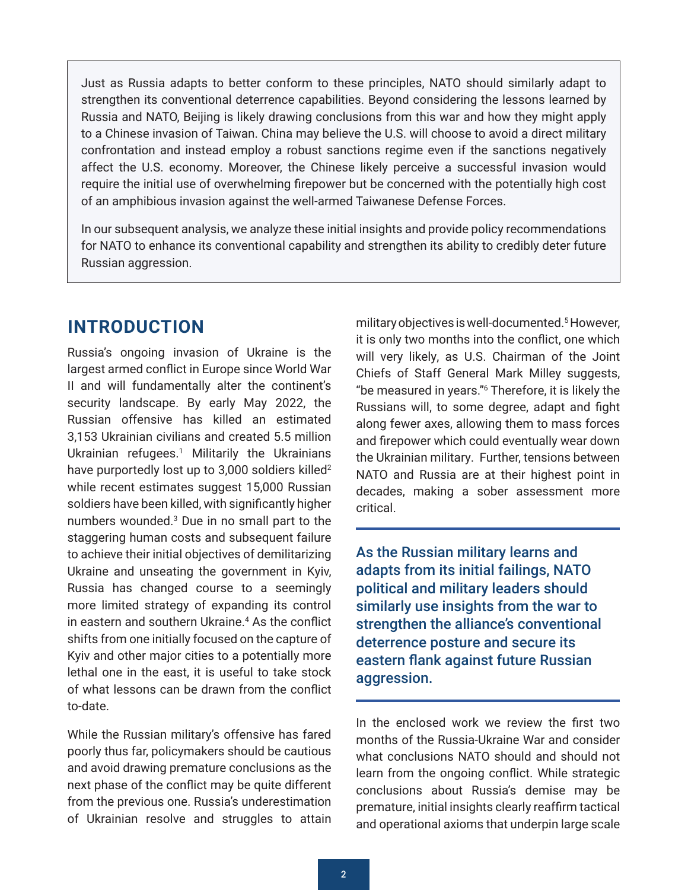<span id="page-1-0"></span>Just as Russia adapts to better conform to these principles, NATO should similarly adapt to strengthen its conventional deterrence capabilities. Beyond considering the lessons learned by Russia and NATO, Beijing is likely drawing conclusions from this war and how they might apply to a Chinese invasion of Taiwan. China may believe the U.S. will choose to avoid a direct military confrontation and instead employ a robust sanctions regime even if the sanctions negatively affect the U.S. economy. Moreover, the Chinese likely perceive a successful invasion would require the initial use of overwhelming firepower but be concerned with the potentially high cost of an amphibious invasion against the well-armed Taiwanese Defense Forces.

In our subsequent analysis, we analyze these initial insights and provide policy recommendations for NATO to enhance its conventional capability and strengthen its ability to credibly deter future Russian aggression.

### **INTRODUCTION**

Russia's ongoing invasion of Ukraine is the largest armed conflict in Europe since World War II and will fundamentally alter the continent's security landscape. By early May 2022, the Russian offensive has killed an estimated 3,153 Ukrainian civilians and created 5.5 million Ukrainian refugees[.1](#page-13-0) Militarily the Ukrainians have purportedly lost up to 3,000 soldiers killed<sup>2</sup> while recent estimates suggest 15,000 Russian soldiers have been killed, with significantly higher numbers wounded.<sup>[3](#page-13-0)</sup> Due in no small part to the staggering human costs and subsequent failure to achieve their initial objectives of demilitarizing Ukraine and unseating the government in Kyiv, Russia has changed course to a seemingly more limited strategy of expanding its control in eastern and southern Ukraine[.4](#page-13-0) As the conflict shifts from one initially focused on the capture of Kyiv and other major cities to a potentially more lethal one in the east, it is useful to take stock of what lessons can be drawn from the conflict to-date.

While the Russian military's offensive has fared poorly thus far, policymakers should be cautious and avoid drawing premature conclusions as the next phase of the conflict may be quite different from the previous one. Russia's underestimation of Ukrainian resolve and struggles to attain

military objectives is well-documented[.5](#page-13-0) However, it is only two months into the conflict, one which will very likely, as U.S. Chairman of the Joint Chiefs of Staff General Mark Milley suggests, "be measured in years."[6](#page-13-0) Therefore, it is likely the Russians will, to some degree, adapt and fight along fewer axes, allowing them to mass forces and firepower which could eventually wear down the Ukrainian military. Further, tensions between NATO and Russia are at their highest point in decades, making a sober assessment more critical.

As the Russian military learns and adapts from its initial failings, NATO political and military leaders should similarly use insights from the war to strengthen the alliance's conventional deterrence posture and secure its eastern flank against future Russian aggression.

In the enclosed work we review the first two months of the Russia-Ukraine War and consider what conclusions NATO should and should not learn from the ongoing conflict. While strategic conclusions about Russia's demise may be premature, initial insights clearly reaffirm tactical and operational axioms that underpin large scale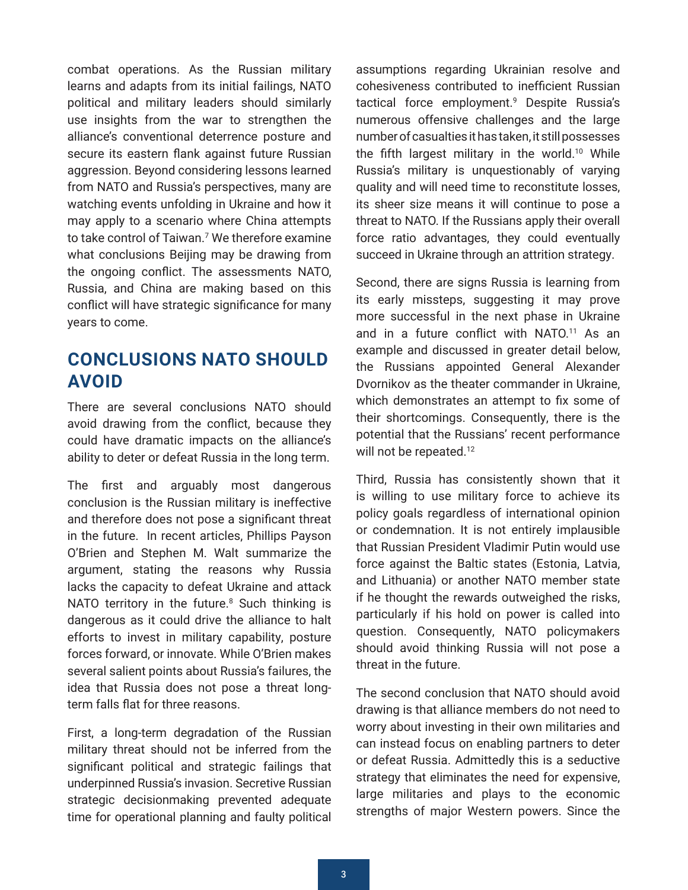<span id="page-2-0"></span>combat operations. As the Russian military learns and adapts from its initial failings, NATO political and military leaders should similarly use insights from the war to strengthen the alliance's conventional deterrence posture and secure its eastern flank against future Russian aggression. Beyond considering lessons learned from NATO and Russia's perspectives, many are watching events unfolding in Ukraine and how it may apply to a scenario where China attempts to take control of Taiwan[.7](#page-13-0) We therefore examine what conclusions Beijing may be drawing from the ongoing conflict. The assessments NATO, Russia, and China are making based on this conflict will have strategic significance for many years to come.

# **CONCLUSIONS NATO SHOULD AVOID**

There are several conclusions NATO should avoid drawing from the conflict, because they could have dramatic impacts on the alliance's ability to deter or defeat Russia in the long term.

The first and arguably most dangerous conclusion is the Russian military is ineffective and therefore does not pose a significant threat in the future. In recent articles, Phillips Payson O'Brien and Stephen M. Walt summarize the argument, stating the reasons why Russia lacks the capacity to defeat Ukraine and attack NATO territory in the future. $8$  Such thinking is dangerous as it could drive the alliance to halt efforts to invest in military capability, posture forces forward, or innovate. While O'Brien makes several salient points about Russia's failures, the idea that Russia does not pose a threat longterm falls flat for three reasons.

First, a long-term degradation of the Russian military threat should not be inferred from the significant political and strategic failings that underpinned Russia's invasion. Secretive Russian strategic decisionmaking prevented adequate time for operational planning and faulty political

assumptions regarding Ukrainian resolve and cohesiveness contributed to inefficient Russian tactical force employment.<sup>[9](#page-13-0)</sup> Despite Russia's numerous offensive challenges and the large number of casualties it has taken, it still possesses the fifth largest military in the world.<sup>10</sup> While Russia's military is unquestionably of varying quality and will need time to reconstitute losses, its sheer size means it will continue to pose a threat to NATO. If the Russians apply their overall force ratio advantages, they could eventually succeed in Ukraine through an attrition strategy.

Second, there are signs Russia is learning from its early missteps, suggesting it may prove more successful in the next phase in Ukraine and in a future conflict with NATO.<sup>11</sup> As an example and discussed in greater detail below, the Russians appointed General Alexander Dvornikov as the theater commander in Ukraine, which demonstrates an attempt to fix some of their shortcomings. Consequently, there is the potential that the Russians' recent performance will not be repeated.<sup>12</sup>

Third, Russia has consistently shown that it is willing to use military force to achieve its policy goals regardless of international opinion or condemnation. It is not entirely implausible that Russian President Vladimir Putin would use force against the Baltic states (Estonia, Latvia, and Lithuania) or another NATO member state if he thought the rewards outweighed the risks, particularly if his hold on power is called into question. Consequently, NATO policymakers should avoid thinking Russia will not pose a threat in the future.

The second conclusion that NATO should avoid drawing is that alliance members do not need to worry about investing in their own militaries and can instead focus on enabling partners to deter or defeat Russia. Admittedly this is a seductive strategy that eliminates the need for expensive, large militaries and plays to the economic strengths of major Western powers. Since the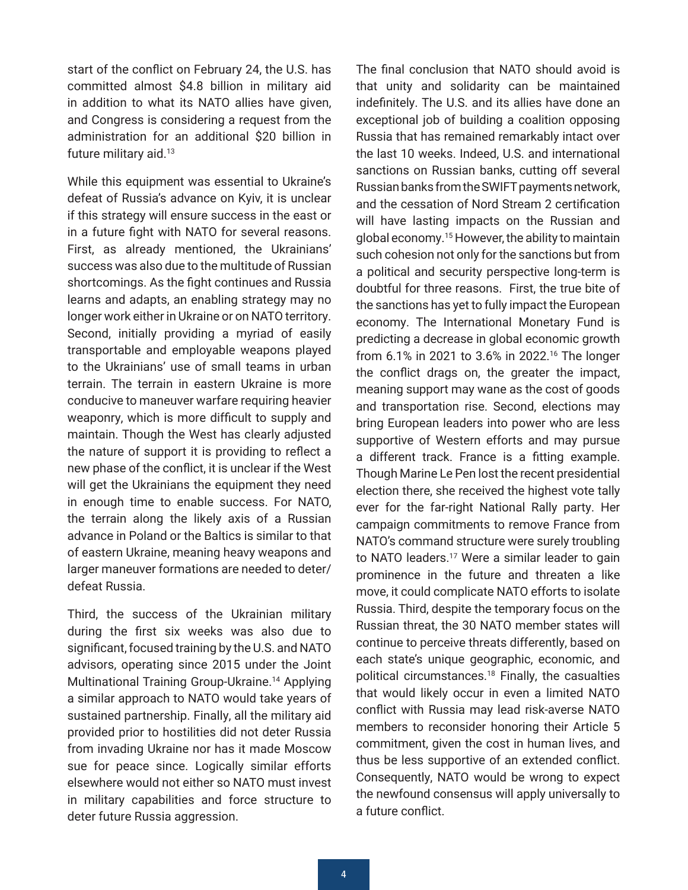<span id="page-3-0"></span>start of the conflict on February 24, the U.S. has committed almost \$4.8 billion in military aid in addition to what its NATO allies have given, and Congress is considering a request from the administration for an additional \$20 billion in future military aid[.13](#page-14-0) 

While this equipment was essential to Ukraine's defeat of Russia's advance on Kyiv, it is unclear if this strategy will ensure success in the east or in a future fight with NATO for several reasons. First, as already mentioned, the Ukrainians' success was also due to the multitude of Russian shortcomings. As the fight continues and Russia learns and adapts, an enabling strategy may no longer work either in Ukraine or on NATO territory. Second, initially providing a myriad of easily transportable and employable weapons played to the Ukrainians' use of small teams in urban terrain. The terrain in eastern Ukraine is more conducive to maneuver warfare requiring heavier weaponry, which is more difficult to supply and maintain. Though the West has clearly adjusted the nature of support it is providing to reflect a new phase of the conflict, it is unclear if the West will get the Ukrainians the equipment they need in enough time to enable success. For NATO, the terrain along the likely axis of a Russian advance in Poland or the Baltics is similar to that of eastern Ukraine, meaning heavy weapons and larger maneuver formations are needed to deter/ defeat Russia.

Third, the success of the Ukrainian military during the first six weeks was also due to significant, focused training by the U.S. and NATO advisors, operating since 2015 under the Joint Multinational Training Group-Ukraine[.14](#page-14-0) Applying a similar approach to NATO would take years of sustained partnership. Finally, all the military aid provided prior to hostilities did not deter Russia from invading Ukraine nor has it made Moscow sue for peace since. Logically similar efforts elsewhere would not either so NATO must invest in military capabilities and force structure to deter future Russia aggression.

The final conclusion that NATO should avoid is that unity and solidarity can be maintained indefinitely. The U.S. and its allies have done an exceptional job of building a coalition opposing Russia that has remained remarkably intact over the last 10 weeks. Indeed, U.S. and international sanctions on Russian banks, cutting off several Russian banks from the SWIFT payments network, and the cessation of Nord Stream 2 certification will have lasting impacts on the Russian and global economy.[15](#page-14-0) However, the ability to maintain such cohesion not only for the sanctions but from a political and security perspective long-term is doubtful for three reasons. First, the true bite of the sanctions has yet to fully impact the European economy. The International Monetary Fund is predicting a decrease in global economic growth from 6.1% in 2021 to 3.6% in 2022[.16](#page-14-0) The longer the conflict drags on, the greater the impact, meaning support may wane as the cost of goods and transportation rise. Second, elections may bring European leaders into power who are less supportive of Western efforts and may pursue a different track. France is a fitting example. Though Marine Le Pen lost the recent presidential election there, she received the highest vote tally ever for the far-right National Rally party. Her campaign commitments to remove France from NATO's command structure were surely troubling to NATO leaders.<sup>17</sup> Were a similar leader to gain prominence in the future and threaten a like move, it could complicate NATO efforts to isolate Russia. Third, despite the temporary focus on the Russian threat, the 30 NATO member states will continue to perceive threats differently, based on each state's unique geographic, economic, and political circumstances.[18](#page-14-0) Finally, the casualties that would likely occur in even a limited NATO conflict with Russia may lead risk-averse NATO members to reconsider honoring their Article 5 commitment, given the cost in human lives, and thus be less supportive of an extended conflict. Consequently, NATO would be wrong to expect the newfound consensus will apply universally to a future conflict.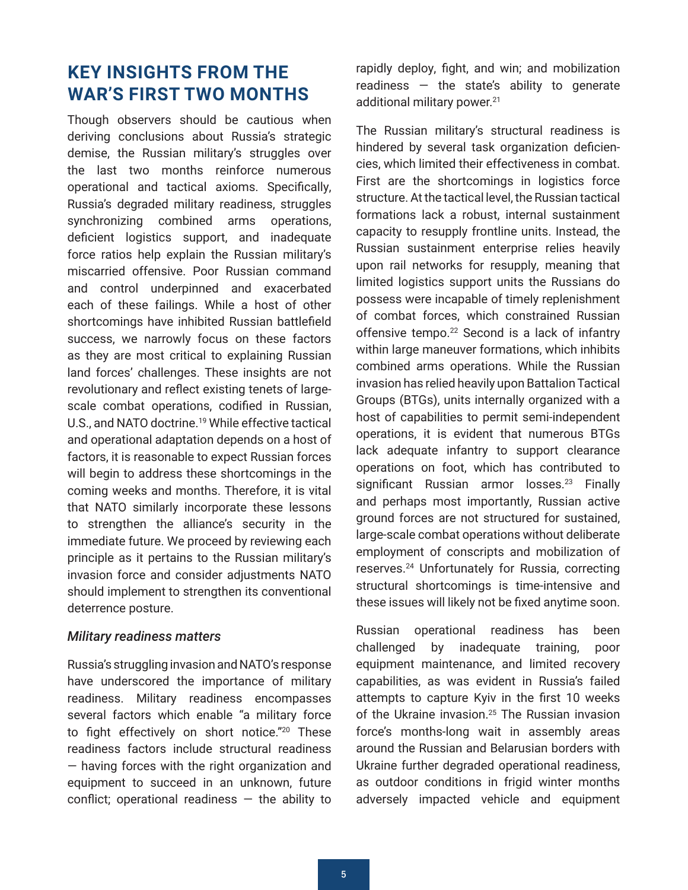# <span id="page-4-0"></span>**KEY INSIGHTS FROM THE WAR'S FIRST TWO MONTHS**

Though observers should be cautious when deriving conclusions about Russia's strategic demise, the Russian military's struggles over the last two months reinforce numerous operational and tactical axioms. Specifically, Russia's degraded military readiness, struggles synchronizing combined arms operations, deficient logistics support, and inadequate force ratios help explain the Russian military's miscarried offensive. Poor Russian command and control underpinned and exacerbated each of these failings. While a host of other shortcomings have inhibited Russian battlefield success, we narrowly focus on these factors as they are most critical to explaining Russian land forces' challenges. These insights are not revolutionary and reflect existing tenets of largescale combat operations, codified in Russian, U.S., and NATO doctrine.<sup>19</sup> While effective tactical and operational adaptation depends on a host of factors, it is reasonable to expect Russian forces will begin to address these shortcomings in the coming weeks and months. Therefore, it is vital that NATO similarly incorporate these lessons to strengthen the alliance's security in the immediate future. We proceed by reviewing each principle as it pertains to the Russian military's invasion force and consider adjustments NATO should implement to strengthen its conventional deterrence posture.

#### *Military readiness matters*

Russia's struggling invasion and NATO's response have underscored the importance of military readiness. Military readiness encompasses several factors which enable "a military force to fight effectively on short notice."[20](#page-14-0) These readiness factors include structural readiness — having forces with the right organization and equipment to succeed in an unknown, future conflict; operational readiness  $-$  the ability to rapidly deploy, fight, and win; and mobilization readiness  $-$  the state's ability to generate additional military power.<sup>[21](#page-14-0)</sup>

The Russian military's structural readiness is hindered by several task organization deficiencies, which limited their effectiveness in combat. First are the shortcomings in logistics force structure. At the tactical level, the Russian tactical formations lack a robust, internal sustainment capacity to resupply frontline units. Instead, the Russian sustainment enterprise relies heavily upon rail networks for resupply, meaning that limited logistics support units the Russians do possess were incapable of timely replenishment of combat forces, which constrained Russian offensive tempo.<sup>22</sup> Second is a lack of infantry within large maneuver formations, which inhibits combined arms operations. While the Russian invasion has relied heavily upon Battalion Tactical Groups (BTGs), units internally organized with a host of capabilities to permit semi-independent operations, it is evident that numerous BTGs lack adequate infantry to support clearance operations on foot, which has contributed to significant Russian armor losses.<sup>23</sup> Finally and perhaps most importantly, Russian active ground forces are not structured for sustained, large-scale combat operations without deliberate employment of conscripts and mobilization of reserves[.24](#page-15-0) Unfortunately for Russia, correcting structural shortcomings is time-intensive and these issues will likely not be fixed anytime soon.

Russian operational readiness has been challenged by inadequate training, poor equipment maintenance, and limited recovery capabilities, as was evident in Russia's failed attempts to capture Kyiv in the first 10 weeks of the Ukraine invasion.<sup>[25](#page-15-0)</sup> The Russian invasion force's months-long wait in assembly areas around the Russian and Belarusian borders with Ukraine further degraded operational readiness, as outdoor conditions in frigid winter months adversely impacted vehicle and equipment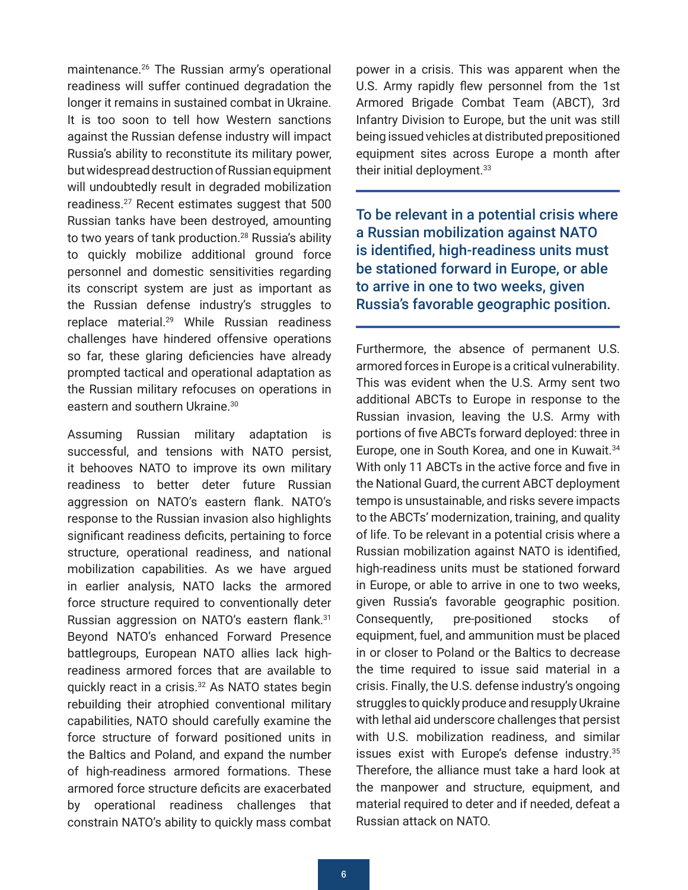<span id="page-5-0"></span>maintenance[.26](#page-15-0) The Russian army's operational readiness will suffer continued degradation the longer it remains in sustained combat in Ukraine. It is too soon to tell how Western sanctions against the Russian defense industry will impact Russia's ability to reconstitute its military power, but widespread destruction of Russian equipment will undoubtedly result in degraded mobilization readiness[.27](#page-15-0) Recent estimates suggest that 500 Russian tanks have been destroyed, amounting to two years of tank production.<sup>28</sup> Russia's ability to quickly mobilize additional ground force personnel and domestic sensitivities regarding its conscript system are just as important as the Russian defense industry's struggles to replace material.[29](#page-15-0) While Russian readiness challenges have hindered offensive operations so far, these glaring deficiencies have already prompted tactical and operational adaptation as the Russian military refocuses on operations in eastern and southern Ukraine.<sup>30</sup>

Assuming Russian military adaptation is successful, and tensions with NATO persist, it behooves NATO to improve its own military readiness to better deter future Russian aggression on NATO's eastern flank. NATO's response to the Russian invasion also highlights significant readiness deficits, pertaining to force structure, operational readiness, and national mobilization capabilities. As we have argued in earlier analysis, NATO lacks the armored force structure required to conventionally deter Russian aggression on NATO's eastern flank.[31](#page-15-0) Beyond NATO's enhanced Forward Presence battlegroups, European NATO allies lack highreadiness armored forces that are available to quickly react in a crisis[.32](#page-16-0) As NATO states begin rebuilding their atrophied conventional military capabilities, NATO should carefully examine the force structure of forward positioned units in the Baltics and Poland, and expand the number of high-readiness armored formations. These armored force structure deficits are exacerbated by operational readiness challenges that constrain NATO's ability to quickly mass combat

power in a crisis. This was apparent when the U.S. Army rapidly flew personnel from the 1st Armored Brigade Combat Team (ABCT), 3rd Infantry Division to Europe, but the unit was still being issued vehicles at distributed prepositioned equipment sites across Europe a month after their initial deployment.<sup>33</sup>

To be relevant in a potential crisis where a Russian mobilization against NATO is identified, high-readiness units must be stationed forward in Europe, or able to arrive in one to two weeks, given Russia's favorable geographic position.

Furthermore, the absence of permanent U.S. armored forces in Europe is a critical vulnerability. This was evident when the U.S. Army sent two additional ABCTs to Europe in response to the Russian invasion, leaving the U.S. Army with portions of five ABCTs forward deployed: three in Europe, one in South Korea, and one in Kuwait.<sup>[34](#page-16-0)</sup> With only 11 ABCTs in the active force and five in the National Guard, the current ABCT deployment tempo is unsustainable, and risks severe impacts to the ABCTs' modernization, training, and quality of life. To be relevant in a potential crisis where a Russian mobilization against NATO is identified, high-readiness units must be stationed forward in Europe, or able to arrive in one to two weeks, given Russia's favorable geographic position. Consequently, pre-positioned stocks of equipment, fuel, and ammunition must be placed in or closer to Poland or the Baltics to decrease the time required to issue said material in a crisis. Finally, the U.S. defense industry's ongoing struggles to quickly produce and resupply Ukraine with lethal aid underscore challenges that persist with U.S. mobilization readiness, and similar issues exist with Europe's defense industry.[35](#page-16-0) Therefore, the alliance must take a hard look at the manpower and structure, equipment, and material required to deter and if needed, defeat a Russian attack on NATO.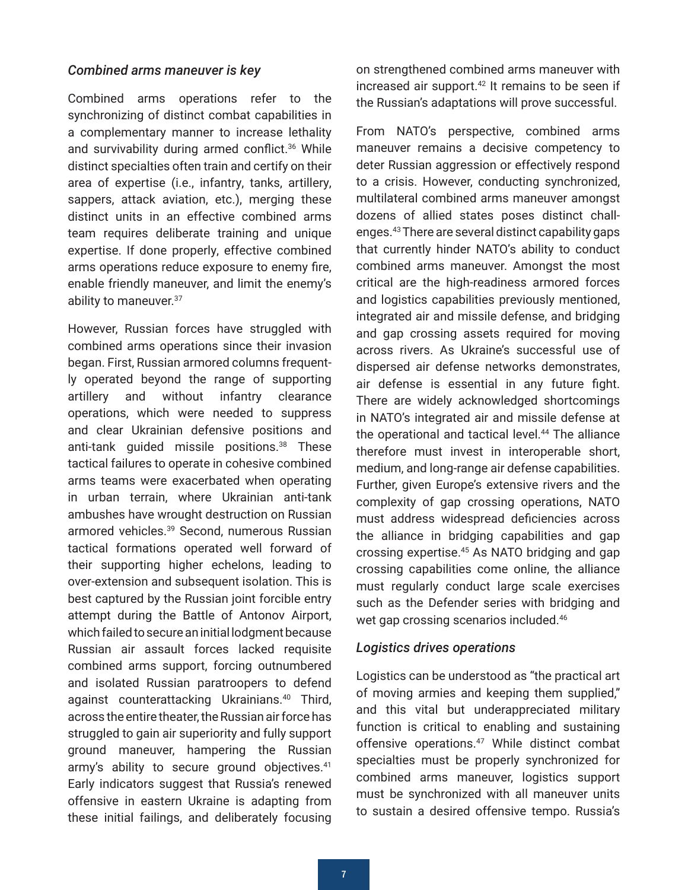#### <span id="page-6-0"></span>*Combined arms maneuver is key*

Combined arms operations refer to the synchronizing of distinct combat capabilities in a complementary manner to increase lethality and survivability during armed conflict.<sup>36</sup> While distinct specialties often train and certify on their area of expertise (i.e., infantry, tanks, artillery, sappers, attack aviation, etc.), merging these distinct units in an effective combined arms team requires deliberate training and unique expertise. If done properly, effective combined arms operations reduce exposure to enemy fire, enable friendly maneuver, and limit the enemy's ability to maneuver. 37

However, Russian forces have struggled with combined arms operations since their invasion began. First, Russian armored columns frequently operated beyond the range of supporting artillery and without infantry clearance operations, which were needed to suppress and clear Ukrainian defensive positions and anti-tank guided missile positions.<sup>38</sup> These tactical failures to operate in cohesive combined arms teams were exacerbated when operating in urban terrain, where Ukrainian anti-tank ambushes have wrought destruction on Russian armored vehicles.[39](#page-16-0) Second, numerous Russian tactical formations operated well forward of their supporting higher echelons, leading to over-extension and subsequent isolation. This is best captured by the Russian joint forcible entry attempt during the Battle of Antonov Airport, which failed to secure an initial lodgment because Russian air assault forces lacked requisite combined arms support, forcing outnumbered and isolated Russian paratroopers to defend against counterattacking Ukrainians.[40](#page-16-0) Third, across the entire theater, the Russian air force has struggled to gain air superiority and fully support ground maneuver, hampering the Russian army's ability to secure ground objectives.<sup>[41](#page-17-0)</sup> Early indicators suggest that Russia's renewed offensive in eastern Ukraine is adapting from these initial failings, and deliberately focusing

on strengthened combined arms maneuver with increased air support.<sup>42</sup> It remains to be seen if the Russian's adaptations will prove successful.

From NATO's perspective, combined arms maneuver remains a decisive competency to deter Russian aggression or effectively respond to a crisis. However, conducting synchronized, multilateral combined arms maneuver amongst dozens of allied states poses distinct challenges.[43](#page-17-0) There are several distinct capability gaps that currently hinder NATO's ability to conduct combined arms maneuver. Amongst the most critical are the high-readiness armored forces and logistics capabilities previously mentioned, integrated air and missile defense, and bridging and gap crossing assets required for moving across rivers. As Ukraine's successful use of dispersed air defense networks demonstrates, air defense is essential in any future fight. There are widely acknowledged shortcomings in NATO's integrated air and missile defense at the operational and tactical level.<sup>44</sup> The alliance therefore must invest in interoperable short, medium, and long-range air defense capabilities. Further, given Europe's extensive rivers and the complexity of gap crossing operations, NATO must address widespread deficiencies across the alliance in bridging capabilities and gap crossing expertise.[45](#page-17-0) As NATO bridging and gap crossing capabilities come online, the alliance must regularly conduct large scale exercises such as the Defender series with bridging and wet gap crossing scenarios included.<sup>46</sup>

#### *Logistics drives operations*

Logistics can be understood as "the practical art of moving armies and keeping them supplied," and this vital but underappreciated military function is critical to enabling and sustaining offensive operations[.47](#page-17-0) While distinct combat specialties must be properly synchronized for combined arms maneuver, logistics support must be synchronized with all maneuver units to sustain a desired offensive tempo. Russia's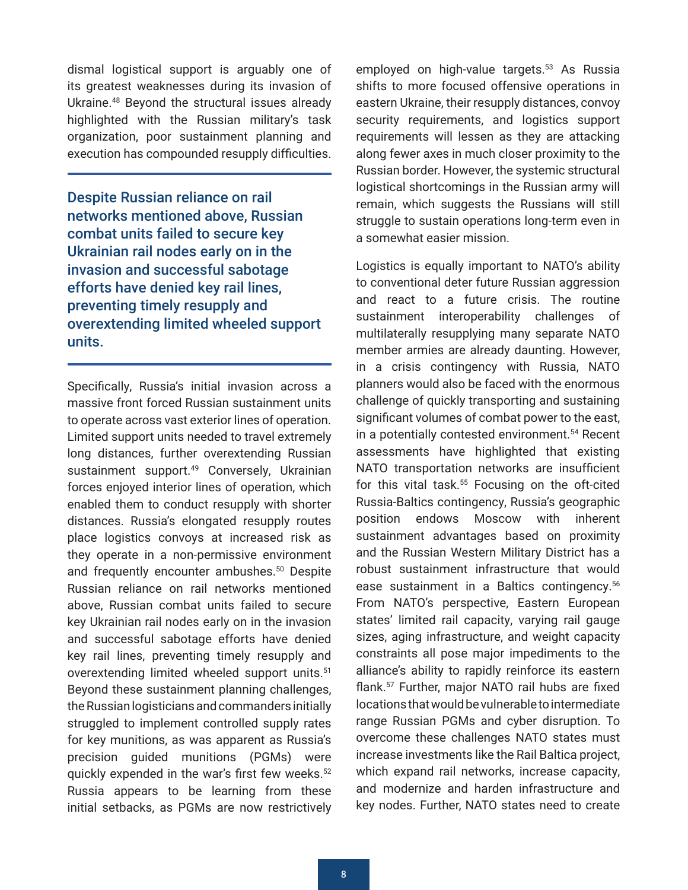<span id="page-7-0"></span>dismal logistical support is arguably one of its greatest weaknesses during its invasion of Ukraine.[48](#page-17-0) Beyond the structural issues already highlighted with the Russian military's task organization, poor sustainment planning and execution has compounded resupply difficulties.

Despite Russian reliance on rail networks mentioned above, Russian combat units failed to secure key Ukrainian rail nodes early on in the invasion and successful sabotage efforts have denied key rail lines, preventing timely resupply and overextending limited wheeled support units.

Specifically, Russia's initial invasion across a massive front forced Russian sustainment units to operate across vast exterior lines of operation. Limited support units needed to travel extremely long distances, further overextending Russian sustainment support.<sup>[49](#page-17-0)</sup> Conversely, Ukrainian forces enjoyed interior lines of operation, which enabled them to conduct resupply with shorter distances. Russia's elongated resupply routes place logistics convoys at increased risk as they operate in a non-permissive environment and frequently encounter ambushes.<sup>50</sup> Despite Russian reliance on rail networks mentioned above, Russian combat units failed to secure key Ukrainian rail nodes early on in the invasion and successful sabotage efforts have denied key rail lines, preventing timely resupply and overextending limited wheeled support units.<sup>[51](#page-17-0)</sup> Beyond these sustainment planning challenges, the Russian logisticians and commanders initially struggled to implement controlled supply rates for key munitions, as was apparent as Russia's precision guided munitions (PGMs) were quickly expended in the war's first few weeks.<sup>[52](#page-17-0)</sup> Russia appears to be learning from these initial setbacks, as PGMs are now restrictively employed on high-value targets.<sup>53</sup> As Russia shifts to more focused offensive operations in eastern Ukraine, their resupply distances, convoy security requirements, and logistics support requirements will lessen as they are attacking along fewer axes in much closer proximity to the Russian border. However, the systemic structural logistical shortcomings in the Russian army will remain, which suggests the Russians will still struggle to sustain operations long-term even in a somewhat easier mission.

Logistics is equally important to NATO's ability to conventional deter future Russian aggression and react to a future crisis. The routine sustainment interoperability challenges of multilaterally resupplying many separate NATO member armies are already daunting. However, in a crisis contingency with Russia, NATO planners would also be faced with the enormous challenge of quickly transporting and sustaining significant volumes of combat power to the east, in a potentially contested environment.<sup>54</sup> Recent assessments have highlighted that existing NATO transportation networks are insufficient for this vital task.<sup>55</sup> Focusing on the oft-cited Russia-Baltics contingency, Russia's geographic position endows Moscow with inherent sustainment advantages based on proximity and the Russian Western Military District has a robust sustainment infrastructure that would ease sustainment in a Baltics contingency.<sup>[56](#page-18-0)</sup> From NATO's perspective, Eastern European states' limited rail capacity, varying rail gauge sizes, aging infrastructure, and weight capacity constraints all pose major impediments to the alliance's ability to rapidly reinforce its eastern flank.[57](#page-18-0) Further, major NATO rail hubs are fixed locations that would be vulnerable to intermediate range Russian PGMs and cyber disruption. To overcome these challenges NATO states must increase investments like the Rail Baltica project, which expand rail networks, increase capacity, and modernize and harden infrastructure and key nodes. Further, NATO states need to create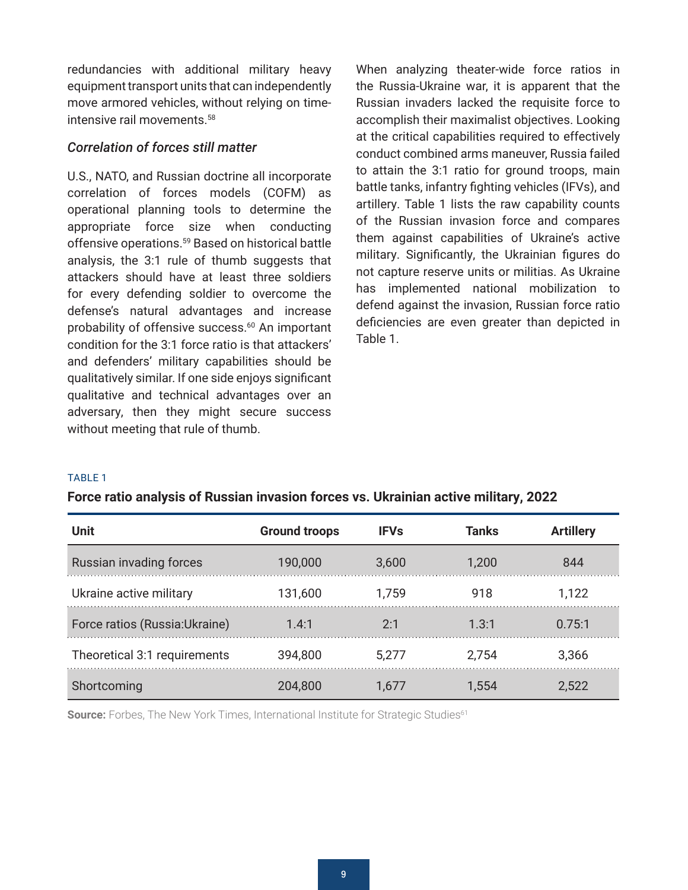<span id="page-8-0"></span>redundancies with additional military heavy equipment transport units that can independently move armored vehicles, without relying on timeintensive rail movements.[58](#page-18-0)

#### *Correlation of forces still matter*

U.S., NATO, and Russian doctrine all incorporate correlation of forces models (COFM) as operational planning tools to determine the appropriate force size when conducting offensive operations.<sup>59</sup> Based on historical battle analysis, the 3:1 rule of thumb suggests that attackers should have at least three soldiers for every defending soldier to overcome the defense's natural advantages and increase probability of offensive success.<sup>[60](#page-18-0)</sup> An important condition for the 3:1 force ratio is that attackers' and defenders' military capabilities should be qualitatively similar. If one side enjoys significant qualitative and technical advantages over an adversary, then they might secure success without meeting that rule of thumb.

When analyzing theater-wide force ratios in the Russia-Ukraine war, it is apparent that the Russian invaders lacked the requisite force to accomplish their maximalist objectives. Looking at the critical capabilities required to effectively conduct combined arms maneuver, Russia failed to attain the 3:1 ratio for ground troops, main battle tanks, infantry fighting vehicles (IFVs), and artillery. Table 1 lists the raw capability counts of the Russian invasion force and compares them against capabilities of Ukraine's active military. Significantly, the Ukrainian figures do not capture reserve units or militias. As Ukraine has implemented national mobilization to defend against the invasion, Russian force ratio deficiencies are even greater than depicted in Table 1.

#### TABLE 1

| Force ratio analysis of Russian invasion forces vs. Ukrainian active military, 2022 |  |  |  |  |  |  |
|-------------------------------------------------------------------------------------|--|--|--|--|--|--|
|-------------------------------------------------------------------------------------|--|--|--|--|--|--|

| <b>Unit</b>                    | <b>Ground troops</b> | <b>IFVs</b> | Tanks | <b>Artillery</b> |
|--------------------------------|----------------------|-------------|-------|------------------|
| Russian invading forces        | 190,000              | 3,600       | 1,200 | 844              |
| Ukraine active military        | 131,600              | 1,759       | 918   | 1,122            |
| Force ratios (Russia: Ukraine) | 1.4:1                | 2:1         | 1.3:1 | 0.75:1           |
| Theoretical 3:1 requirements   | 394,800              | 5.277       | 2,754 | 3,366            |
| Shortcoming                    | 204.800              | h/L         | L.554 | 2.522            |

**Source:** Forbes, The New York Times, International Institute for Strategic Studies<sup>61</sup>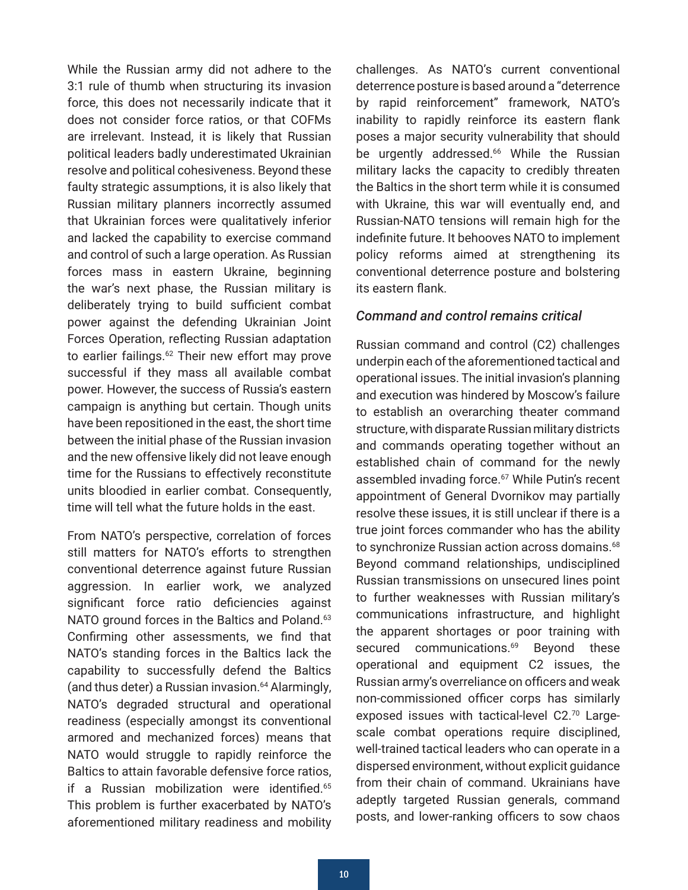<span id="page-9-0"></span>While the Russian army did not adhere to the 3:1 rule of thumb when structuring its invasion force, this does not necessarily indicate that it does not consider force ratios, or that COFMs are irrelevant. Instead, it is likely that Russian political leaders badly underestimated Ukrainian resolve and political cohesiveness. Beyond these faulty strategic assumptions, it is also likely that Russian military planners incorrectly assumed that Ukrainian forces were qualitatively inferior and lacked the capability to exercise command and control of such a large operation. As Russian forces mass in eastern Ukraine, beginning the war's next phase, the Russian military is deliberately trying to build sufficient combat power against the defending Ukrainian Joint Forces Operation, reflecting Russian adaptation to earlier failings.<sup>62</sup> Their new effort may prove successful if they mass all available combat power. However, the success of Russia's eastern campaign is anything but certain. Though units have been repositioned in the east, the short time between the initial phase of the Russian invasion and the new offensive likely did not leave enough time for the Russians to effectively reconstitute units bloodied in earlier combat. Consequently, time will tell what the future holds in the east.

From NATO's perspective, correlation of forces still matters for NATO's efforts to strengthen conventional deterrence against future Russian aggression. In earlier work, we analyzed significant force ratio deficiencies against NATO ground forces in the Baltics and Poland.<sup>[63](#page-18-0)</sup> Confirming other assessments, we find that NATO's standing forces in the Baltics lack the capability to successfully defend the Baltics (and thus deter) a Russian invasion.[64](#page-18-0) Alarmingly, NATO's degraded structural and operational readiness (especially amongst its conventional armored and mechanized forces) means that NATO would struggle to rapidly reinforce the Baltics to attain favorable defensive force ratios, if a Russian mobilization were identified.<sup>[65](#page-19-0)</sup> This problem is further exacerbated by NATO's aforementioned military readiness and mobility challenges. As NATO's current conventional deterrence posture is based around a "deterrence by rapid reinforcement" framework, NATO's inability to rapidly reinforce its eastern flank poses a major security vulnerability that should be urgently addressed.<sup>[66](#page-19-0)</sup> While the Russian military lacks the capacity to credibly threaten the Baltics in the short term while it is consumed with Ukraine, this war will eventually end, and Russian-NATO tensions will remain high for the indefinite future. It behooves NATO to implement policy reforms aimed at strengthening its conventional deterrence posture and bolstering its eastern flank.

#### *Command and control remains critical*

Russian command and control (C2) challenges underpin each of the aforementioned tactical and operational issues. The initial invasion's planning and execution was hindered by Moscow's failure to establish an overarching theater command structure, with disparate Russian military districts and commands operating together without an established chain of command for the newly assembled invading force.<sup>[67](#page-19-0)</sup> While Putin's recent appointment of General Dvornikov may partially resolve these issues, it is still unclear if there is a true joint forces commander who has the ability to synchronize Russian action across domains.<sup>[68](#page-19-0)</sup> Beyond command relationships, undisciplined Russian transmissions on unsecured lines point to further weaknesses with Russian military's communications infrastructure, and highlight the apparent shortages or poor training with secured communications.<sup>69</sup> Beyond these operational and equipment C2 issues, the Russian army's overreliance on officers and weak non-commissioned officer corps has similarly exposed issues with tactical-level C2.[70](#page-19-0) Largescale combat operations require disciplined, well-trained tactical leaders who can operate in a dispersed environment, without explicit guidance from their chain of command. Ukrainians have adeptly targeted Russian generals, command posts, and lower-ranking officers to sow chaos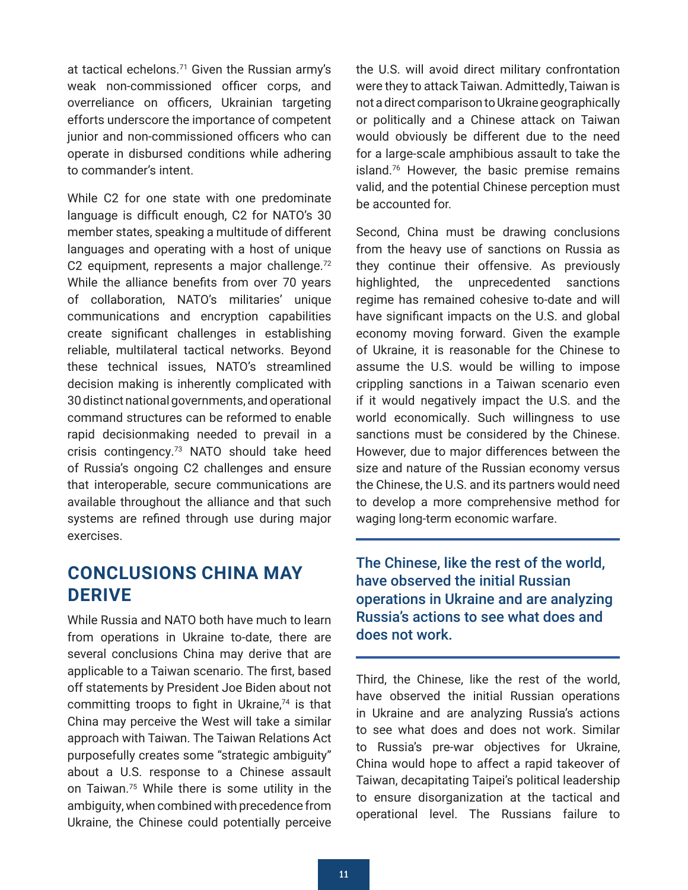<span id="page-10-0"></span>at tactical echelons.[71](#page-19-0) Given the Russian army's weak non-commissioned officer corps, and overreliance on officers, Ukrainian targeting efforts underscore the importance of competent junior and non-commissioned officers who can operate in disbursed conditions while adhering to commander's intent.

While C2 for one state with one predominate language is difficult enough, C2 for NATO's 30 member states, speaking a multitude of different languages and operating with a host of unique C2 equipment, represents a major challenge.<sup>[72](#page-19-0)</sup> While the alliance benefits from over 70 years of collaboration, NATO's militaries' unique communications and encryption capabilities create significant challenges in establishing reliable, multilateral tactical networks. Beyond these technical issues, NATO's streamlined decision making is inherently complicated with 30 distinct national governments, and operational command structures can be reformed to enable rapid decisionmaking needed to prevail in a crisis contingency[.73](#page-19-0) NATO should take heed of Russia's ongoing C2 challenges and ensure that interoperable, secure communications are available throughout the alliance and that such systems are refined through use during major exercises.

# **CONCLUSIONS CHINA MAY DERIVE**

While Russia and NATO both have much to learn from operations in Ukraine to-date, there are several conclusions China may derive that are applicable to a Taiwan scenario. The first, based off statements by President Joe Biden about not committing troops to fight in Ukraine,<sup>74</sup> is that China may perceive the West will take a similar approach with Taiwan. The Taiwan Relations Act purposefully creates some "strategic ambiguity" about a U.S. response to a Chinese assault on Taiwan.[75](#page-19-0) While there is some utility in the ambiguity, when combined with precedence from Ukraine, the Chinese could potentially perceive the U.S. will avoid direct military confrontation were they to attack Taiwan. Admittedly, Taiwan is not a direct comparison to Ukraine geographically or politically and a Chinese attack on Taiwan would obviously be different due to the need for a large-scale amphibious assault to take the island[.76](#page-20-0) However, the basic premise remains valid, and the potential Chinese perception must be accounted for.

Second, China must be drawing conclusions from the heavy use of sanctions on Russia as they continue their offensive. As previously highlighted, the unprecedented sanctions regime has remained cohesive to-date and will have significant impacts on the U.S. and global economy moving forward. Given the example of Ukraine, it is reasonable for the Chinese to assume the U.S. would be willing to impose crippling sanctions in a Taiwan scenario even if it would negatively impact the U.S. and the world economically. Such willingness to use sanctions must be considered by the Chinese. However, due to major differences between the size and nature of the Russian economy versus the Chinese, the U.S. and its partners would need to develop a more comprehensive method for waging long-term economic warfare.

The Chinese, like the rest of the world, have observed the initial Russian operations in Ukraine and are analyzing Russia's actions to see what does and does not work.

Third, the Chinese, like the rest of the world, have observed the initial Russian operations in Ukraine and are analyzing Russia's actions to see what does and does not work. Similar to Russia's pre-war objectives for Ukraine, China would hope to affect a rapid takeover of Taiwan, decapitating Taipei's political leadership to ensure disorganization at the tactical and operational level. The Russians failure to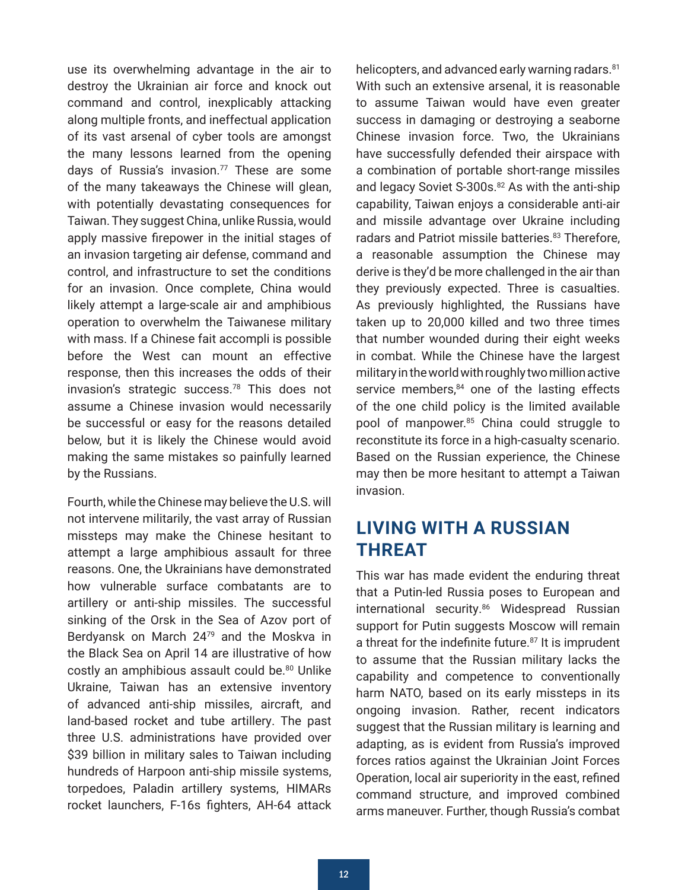<span id="page-11-0"></span>use its overwhelming advantage in the air to destroy the Ukrainian air force and knock out command and control, inexplicably attacking along multiple fronts, and ineffectual application of its vast arsenal of cyber tools are amongst the many lessons learned from the opening days of Russia's invasion. $77$  These are some of the many takeaways the Chinese will glean, with potentially devastating consequences for Taiwan. They suggest China, unlike Russia, would apply massive firepower in the initial stages of an invasion targeting air defense, command and control, and infrastructure to set the conditions for an invasion. Once complete, China would likely attempt a large-scale air and amphibious operation to overwhelm the Taiwanese military with mass. If a Chinese fait accompli is possible before the West can mount an effective response, then this increases the odds of their invasion's strategic success[.78](#page-20-0) This does not assume a Chinese invasion would necessarily be successful or easy for the reasons detailed below, but it is likely the Chinese would avoid making the same mistakes so painfully learned by the Russians.

Fourth, while the Chinese may believe the U.S. will not intervene militarily, the vast array of Russian missteps may make the Chinese hesitant to attempt a large amphibious assault for three reasons. One, the Ukrainians have demonstrated how vulnerable surface combatants are to artillery or anti-ship missiles. The successful sinking of the Orsk in the Sea of Azov port of Berdyansk on March 2[479](#page-20-0) and the Moskva in the Black Sea on April 14 are illustrative of how costly an amphibious assault could be[.80](#page-20-0) Unlike Ukraine, Taiwan has an extensive inventory of advanced anti-ship missiles, aircraft, and land-based rocket and tube artillery. The past three U.S. administrations have provided over \$39 billion in military sales to Taiwan including hundreds of Harpoon anti-ship missile systems, torpedoes, Paladin artillery systems, HIMARs rocket launchers, F-16s fighters, AH-64 attack helicopters, and advanced early warning radars.<sup>[81](#page-20-0)</sup> With such an extensive arsenal, it is reasonable to assume Taiwan would have even greater success in damaging or destroying a seaborne Chinese invasion force. Two, the Ukrainians have successfully defended their airspace with a combination of portable short-range missiles and legacy Soviet S-300s.<sup>82</sup> As with the anti-ship capability, Taiwan enjoys a considerable anti-air and missile advantage over Ukraine including radars and Patriot missile batteries.<sup>83</sup> Therefore, a reasonable assumption the Chinese may derive is they'd be more challenged in the air than they previously expected. Three is casualties. As previously highlighted, the Russians have taken up to 20,000 killed and two three times that number wounded during their eight weeks in combat. While the Chinese have the largest military in the world with roughly two million active service members, $84$  one of the lasting effects of the one child policy is the limited available pool of manpower.<sup>85</sup> China could struggle to reconstitute its force in a high-casualty scenario. Based on the Russian experience, the Chinese may then be more hesitant to attempt a Taiwan invasion.

# **LIVING WITH A RUSSIAN THREAT**

This war has made evident the enduring threat that a Putin-led Russia poses to European and international security.<sup>86</sup> Widespread Russian support for Putin suggests Moscow will remain a threat for the indefinite future.<sup>87</sup> It is imprudent to assume that the Russian military lacks the capability and competence to conventionally harm NATO, based on its early missteps in its ongoing invasion. Rather, recent indicators suggest that the Russian military is learning and adapting, as is evident from Russia's improved forces ratios against the Ukrainian Joint Forces Operation, local air superiority in the east, refined command structure, and improved combined arms maneuver. Further, though Russia's combat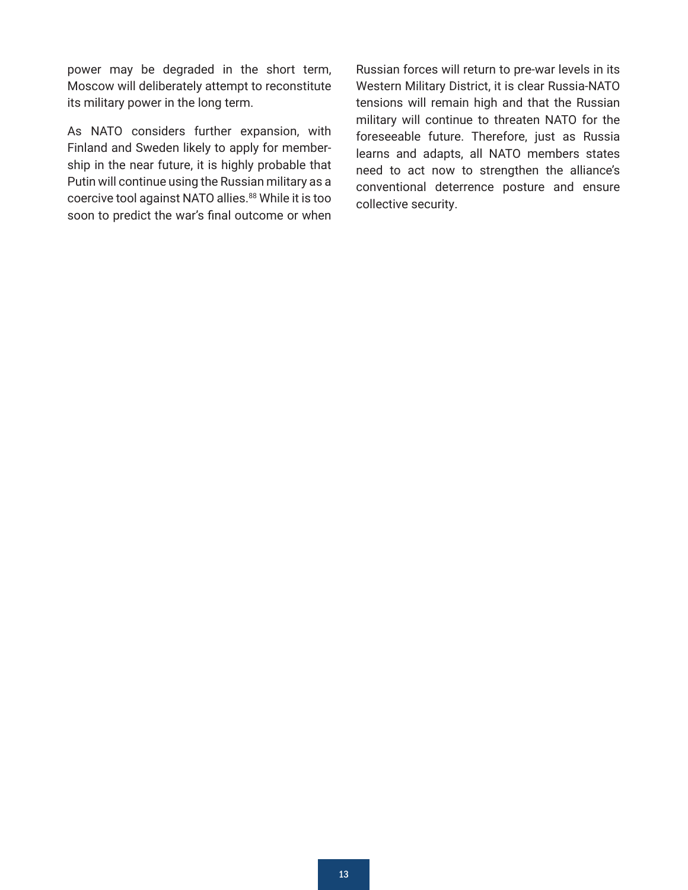<span id="page-12-0"></span>power may be degraded in the short term, Moscow will deliberately attempt to reconstitute its military power in the long term.

As NATO considers further expansion, with Finland and Sweden likely to apply for membership in the near future, it is highly probable that Putin will continue using the Russian military as a coercive tool against NATO allies[.88](#page-20-0) While it is too soon to predict the war's final outcome or when Russian forces will return to pre-war levels in its Western Military District, it is clear Russia-NATO tensions will remain high and that the Russian military will continue to threaten NATO for the foreseeable future. Therefore, just as Russia learns and adapts, all NATO members states need to act now to strengthen the alliance's conventional deterrence posture and ensure collective security.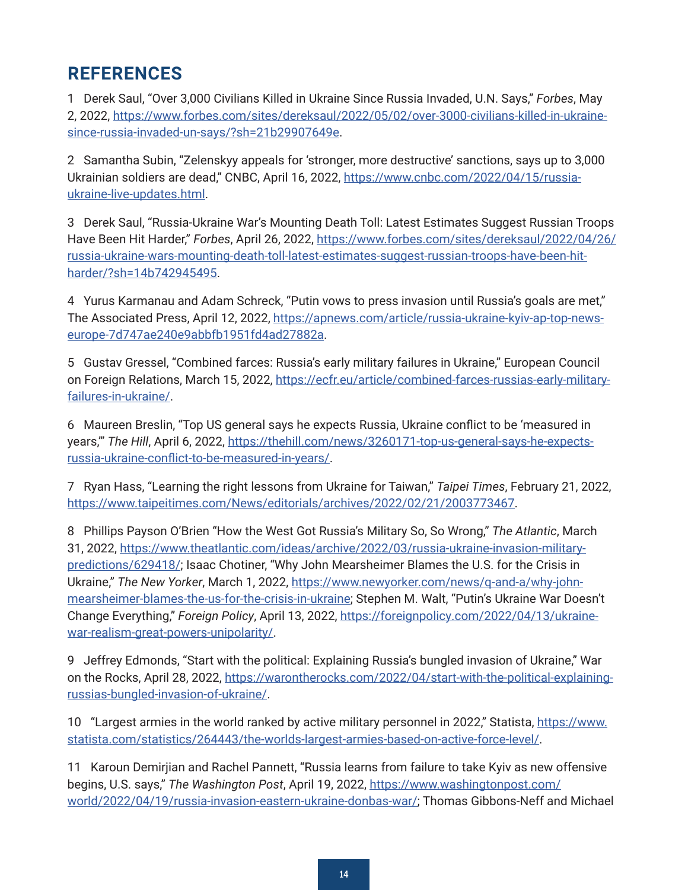# <span id="page-13-0"></span>**REFERENCES**

[1](#page-1-0) Derek Saul, "Over 3,000 Civilians Killed in Ukraine Since Russia Invaded, U.N. Says," *Forbes*, May 2, 2022, [https://www.forbes.com/sites/dereksaul/2022/05/02/over-3000-civilians-killed-in-ukraine](https://www.forbes.com/sites/dereksaul/2022/05/02/over-3000-civilians-killed-in-ukraine-since-russia-invaded-un-says/?sh=21b29907649e)[since-russia-invaded-un-says/?sh=21b29907649e](https://www.forbes.com/sites/dereksaul/2022/05/02/over-3000-civilians-killed-in-ukraine-since-russia-invaded-un-says/?sh=21b29907649e).

[2](#page-1-0) Samantha Subin, "Zelenskyy appeals for 'stronger, more destructive' sanctions, says up to 3,000 Ukrainian soldiers are dead," CNBC, April 16, 2022, [https://www.cnbc.com/2022/04/15/russia](https://www.cnbc.com/2022/04/15/russia-ukraine-live-updates.html)[ukraine-live-updates.html.](https://www.cnbc.com/2022/04/15/russia-ukraine-live-updates.html)

[3](#page-1-0) Derek Saul, "Russia-Ukraine War's Mounting Death Toll: Latest Estimates Suggest Russian Troops Have Been Hit Harder," *Forbes*, April 26, 2022, [https://www.forbes.com/sites/dereksaul/2022/04/26/](https://www.forbes.com/sites/dereksaul/2022/04/26/russia-ukraine-wars-mounting-death-toll-latest-estimates-suggest-russian-troops-have-been-hit-harder/?sh=14b742945495) [russia-ukraine-wars-mounting-death-toll-latest-estimates-suggest-russian-troops-have-been-hit](https://www.forbes.com/sites/dereksaul/2022/04/26/russia-ukraine-wars-mounting-death-toll-latest-estimates-suggest-russian-troops-have-been-hit-harder/?sh=14b742945495)[harder/?sh=14b742945495](https://www.forbes.com/sites/dereksaul/2022/04/26/russia-ukraine-wars-mounting-death-toll-latest-estimates-suggest-russian-troops-have-been-hit-harder/?sh=14b742945495).

[4](#page-1-0) Yurus Karmanau and Adam Schreck, "Putin vows to press invasion until Russia's goals are met," The Associated Press, April 12, 2022, [https://apnews.com/article/russia-ukraine-kyiv-ap-top-news](https://apnews.com/article/russia-ukraine-kyiv-ap-top-news-europe-7d747ae240e9abbfb1951fd4ad27882a)[europe-7d747ae240e9abbfb1951fd4ad27882a](https://apnews.com/article/russia-ukraine-kyiv-ap-top-news-europe-7d747ae240e9abbfb1951fd4ad27882a).

[5](#page-1-0) Gustav Gressel, "Combined farces: Russia's early military failures in Ukraine," European Council on Foreign Relations, March 15, 2022, [https://ecfr.eu/article/combined-farces-russias-early-military](https://ecfr.eu/article/combined-farces-russias-early-military-failures-in-ukraine/)[failures-in-ukraine/](https://ecfr.eu/article/combined-farces-russias-early-military-failures-in-ukraine/).

[6](#page-1-0) Maureen Breslin, "Top US general says he expects Russia, Ukraine conflict to be 'measured in years," The Hill, April 6, 2022, [https://thehill.com/news/3260171-top-us-general-says-he-expects](https://thehill.com/news/3260171-top-us-general-says-he-expects-russia-ukraine-conflict-to-be-measured-in-years/)[russia-ukraine-conflict-to-be-measured-in-years/](https://thehill.com/news/3260171-top-us-general-says-he-expects-russia-ukraine-conflict-to-be-measured-in-years/).

[7](#page-2-0) Ryan Hass, "Learning the right lessons from Ukraine for Taiwan," *Taipei Times*, February 21, 2022, <https://www.taipeitimes.com/News/editorials/archives/2022/02/21/2003773467>.

[8](#page-2-0) Phillips Payson O'Brien "How the West Got Russia's Military So, So Wrong," *The Atlantic*, March 31, 2022, [https://www.theatlantic.com/ideas/archive/2022/03/russia-ukraine-invasion-military](https://www.theatlantic.com/ideas/archive/2022/03/russia-ukraine-invasion-military-predictions/629418/)[predictions/629418/](https://www.theatlantic.com/ideas/archive/2022/03/russia-ukraine-invasion-military-predictions/629418/); Isaac Chotiner, "Why John Mearsheimer Blames the U.S. for the Crisis in Ukraine," *The New Yorker*, March 1, 2022, [https://www.newyorker.com/news/q-and-a/why-john](https://www.newyorker.com/news/q-and-a/why-john-mearsheimer-blames-the-us-for-the-crisis-in-ukraine)[mearsheimer-blames-the-us-for-the-crisis-in-ukraine](https://www.newyorker.com/news/q-and-a/why-john-mearsheimer-blames-the-us-for-the-crisis-in-ukraine); Stephen M. Walt, "Putin's Ukraine War Doesn't Change Everything," *Foreign Policy*, April 13, 2022, [https://foreignpolicy.com/2022/04/13/ukraine](https://foreignpolicy.com/2022/04/13/ukraine-war-realism-great-powers-unipolarity/)[war-realism-great-powers-unipolarity/](https://foreignpolicy.com/2022/04/13/ukraine-war-realism-great-powers-unipolarity/).

[9](#page-2-0) Jeffrey Edmonds, "Start with the political: Explaining Russia's bungled invasion of Ukraine," War on the Rocks, April 28, 2022, [https://warontherocks.com/2022/04/start-with-the-political-explaining](https://warontherocks.com/2022/04/start-with-the-political-explaining-russias-bungled-invasion-of-ukraine/)[russias-bungled-invasion-of-ukraine/.](https://warontherocks.com/2022/04/start-with-the-political-explaining-russias-bungled-invasion-of-ukraine/)

[10](#page-2-0) "Largest armies in the world ranked by active military personnel in 2022," Statista, [https://www.](https://www.statista.com/statistics/264443/the-worlds-largest-armies-based-on-active-force-level/) [statista.com/statistics/264443/the-worlds-largest-armies-based-on-active-force-level/](https://www.statista.com/statistics/264443/the-worlds-largest-armies-based-on-active-force-level/).

[11](#page-2-0) Karoun Demirjian and Rachel Pannett, "Russia learns from failure to take Kyiv as new offensive begins, U.S. says," *The Washington Post*, April 19, 2022, [https://www.washingtonpost.com/](https://www.washingtonpost.com/world/2022/04/19/russia-invasion-eastern-ukraine-donbas-war/) [world/2022/04/19/russia-invasion-eastern-ukraine-donbas-war/](https://www.washingtonpost.com/world/2022/04/19/russia-invasion-eastern-ukraine-donbas-war/); Thomas Gibbons-Neff and Michael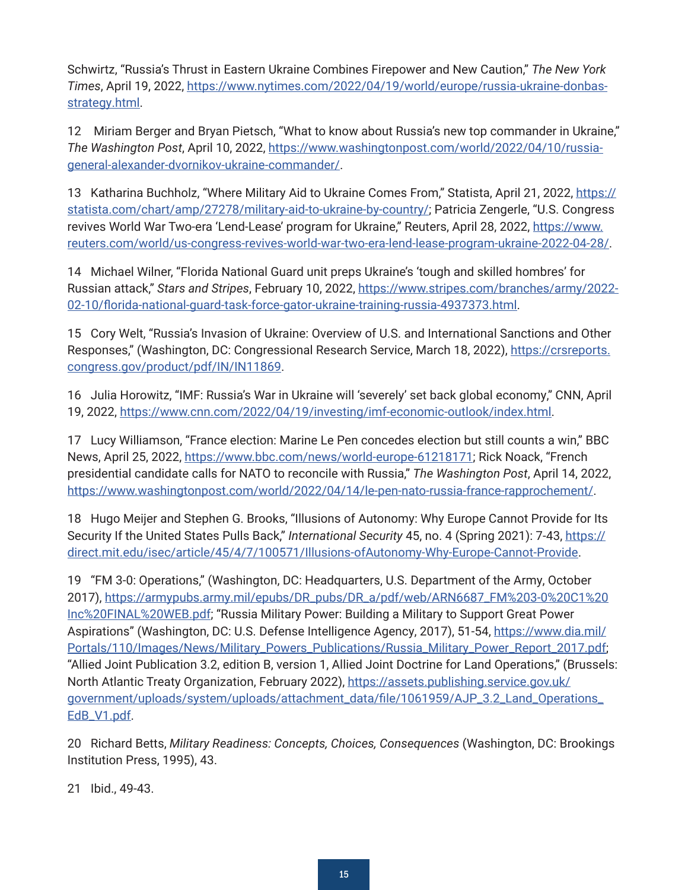<span id="page-14-0"></span>Schwirtz, "Russia's Thrust in Eastern Ukraine Combines Firepower and New Caution," *The New York Times*, April 19, 2022, [https://www.nytimes.com/2022/04/19/world/europe/russia-ukraine-donbas](https://www.nytimes.com/2022/04/19/world/europe/russia-ukraine-donbas-strategy.html)[strategy.html](https://www.nytimes.com/2022/04/19/world/europe/russia-ukraine-donbas-strategy.html).

[12](#page-2-0) Miriam Berger and Bryan Pietsch, "What to know about Russia's new top commander in Ukraine," *The Washington Post*, April 10, 2022, [https://www.washingtonpost.com/world/2022/04/10/russia](https://www.washingtonpost.com/world/2022/04/10/russia-general-alexander-dvornikov-ukraine-commander/)[general-alexander-dvornikov-ukraine-commander/](https://www.washingtonpost.com/world/2022/04/10/russia-general-alexander-dvornikov-ukraine-commander/).

[13](#page-3-0) Katharina Buchholz, "Where Military Aid to Ukraine Comes From," Statista, April 21, 2022, [https://](https://statista.com/chart/amp/27278/military-aid-to-ukraine-by-country/) [statista.com/chart/amp/27278/military-aid-to-ukraine-by-country/](https://statista.com/chart/amp/27278/military-aid-to-ukraine-by-country/); Patricia Zengerle, "U.S. Congress revives World War Two-era 'Lend-Lease' program for Ukraine," Reuters, April 28, 2022, [https://www.](https://www.reuters.com/world/us-congress-revives-world-war-two-era-lend-lease-program-ukraine-2022-04-28/) [reuters.com/world/us-congress-revives-world-war-two-era-lend-lease-program-ukraine-2022-04-28/](https://www.reuters.com/world/us-congress-revives-world-war-two-era-lend-lease-program-ukraine-2022-04-28/).

[14](#page-3-0) Michael Wilner, "Florida National Guard unit preps Ukraine's 'tough and skilled hombres' for Russian attack," *Stars and Stripes*, February 10, 2022, [https://www.stripes.com/branches/army/2022-](https://www.stripes.com/branches/army/2022-02-10/florida-national-guard-task-force-gator-ukraine-training-russia-4937373.html) [02-10/florida-national-guard-task-force-gator-ukraine-training-russia-4937373.html](https://www.stripes.com/branches/army/2022-02-10/florida-national-guard-task-force-gator-ukraine-training-russia-4937373.html).

[15](#page-3-0) Cory Welt, "Russia's Invasion of Ukraine: Overview of U.S. and International Sanctions and Other Responses," (Washington, DC: Congressional Research Service, March 18, 2022), [https://crsreports.](https://crsreports.congress.gov/product/pdf/IN/IN11869) [congress.gov/product/pdf/IN/IN11869](https://crsreports.congress.gov/product/pdf/IN/IN11869).

[16](#page-3-0) Julia Horowitz, "IMF: Russia's War in Ukraine will 'severely' set back global economy," CNN, April 19, 2022, <https://www.cnn.com/2022/04/19/investing/imf-economic-outlook/index.html>.

[17](#page-3-0) Lucy Williamson, "France election: Marine Le Pen concedes election but still counts a win," BBC News, April 25, 2022, <https://www.bbc.com/news/world-europe-61218171>; Rick Noack, "French presidential candidate calls for NATO to reconcile with Russia," *The Washington Post*, April 14, 2022, <https://www.washingtonpost.com/world/2022/04/14/le-pen-nato-russia-france-rapprochement/>.

[18](#page-3-0) Hugo Meijer and Stephen G. Brooks, "Illusions of Autonomy: Why Europe Cannot Provide for Its Security If the United States Pulls Back," *International Security* 45, no. 4 (Spring 2021): 7-43, [https://](https://direct.mit.edu/isec/article/45/4/7/100571/Illusions-ofAutonomy-Why-Europe-Cannot-Provide) [direct.mit.edu/isec/article/45/4/7/100571/Illusions-ofAutonomy-Why-Europe-Cannot-Provide.](https://direct.mit.edu/isec/article/45/4/7/100571/Illusions-ofAutonomy-Why-Europe-Cannot-Provide)

[19](#page-4-0) "FM 3-0: Operations," (Washington, DC: Headquarters, U.S. Department of the Army, October 2017), [https://armypubs.army.mil/epubs/DR\\_pubs/DR\\_a/pdf/web/ARN6687\\_FM%203-0%20C1%20](https://armypubs.army.mil/epubs/DR_pubs/DR_a/pdf/web/ARN6687_FM%203-0%20C1%20Inc%20FINAL%20WEB.pdf) [Inc%20FINAL%20WEB.pdf](https://armypubs.army.mil/epubs/DR_pubs/DR_a/pdf/web/ARN6687_FM%203-0%20C1%20Inc%20FINAL%20WEB.pdf); "Russia Military Power: Building a Military to Support Great Power Aspirations" (Washington, DC: U.S. Defense Intelligence Agency, 2017), 51-54, [https://www.dia.mil/](https://www.dia.mil/Portals/110/Images/News/Military_Powers_Publications/Russia_Military_Power_Report_2017.pdf) [Portals/110/Images/News/Military\\_Powers\\_Publications/Russia\\_Military\\_Power\\_Report\\_2017.pdf;](https://www.dia.mil/Portals/110/Images/News/Military_Powers_Publications/Russia_Military_Power_Report_2017.pdf) "Allied Joint Publication 3.2, edition B, version 1, Allied Joint Doctrine for Land Operations," (Brussels: North Atlantic Treaty Organization, February 2022), [https://assets.publishing.service.gov.uk/](https://assets.publishing.service.gov.uk/government/uploads/system/uploads/attachment_data/file/1061959/AJP_3.2_Land_Operations_EdB_V1.pdf) [government/uploads/system/uploads/attachment\\_data/file/1061959/AJP\\_3.2\\_Land\\_Operations\\_](https://assets.publishing.service.gov.uk/government/uploads/system/uploads/attachment_data/file/1061959/AJP_3.2_Land_Operations_EdB_V1.pdf) [EdB\\_V1.pdf](https://assets.publishing.service.gov.uk/government/uploads/system/uploads/attachment_data/file/1061959/AJP_3.2_Land_Operations_EdB_V1.pdf).

[20](#page-4-0) Richard Betts, *Military Readiness: Concepts, Choices, Consequences* (Washington, DC: Brookings Institution Press, 1995), 43.

[21](#page-4-0) Ibid., 49-43.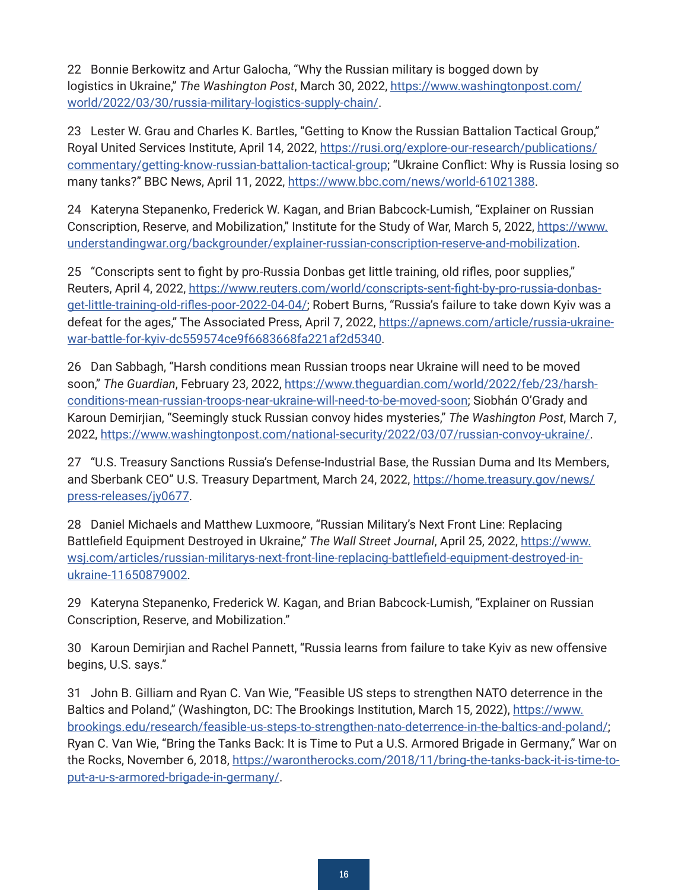<span id="page-15-0"></span>[22](#page-4-0) Bonnie Berkowitz and Artur Galocha, "Why the Russian military is bogged down by logistics in Ukraine," *The Washington Post*, March 30, 2022, [https://www.washingtonpost.com/](https://www.washingtonpost.com/world/2022/03/30/russia-military-logistics-supply-chain/) [world/2022/03/30/russia-military-logistics-supply-chain/.](https://www.washingtonpost.com/world/2022/03/30/russia-military-logistics-supply-chain/)

[23](#page-4-0) Lester W. Grau and Charles K. Bartles, "Getting to Know the Russian Battalion Tactical Group," Royal United Services Institute, April 14, 2022, [https://rusi.org/explore-our-research/publications/](https://rusi.org/explore-our-research/publications/commentary/getting-know-russian-battalion-tactical-group) [commentary/getting-know-russian-battalion-tactical-group](https://rusi.org/explore-our-research/publications/commentary/getting-know-russian-battalion-tactical-group); "Ukraine Conflict: Why is Russia losing so many tanks?" BBC News, April 11, 2022, <https://www.bbc.com/news/world-61021388>.

[24](#page-4-0) Kateryna Stepanenko, Frederick W. Kagan, and Brian Babcock-Lumish, "Explainer on Russian Conscription, Reserve, and Mobilization," Institute for the Study of War, March 5, 2022, [https://www.](https://www.understandingwar.org/backgrounder/explainer-russian-conscription-reserve-and-mobilization) [understandingwar.org/backgrounder/explainer-russian-conscription-reserve-and-mobilization](https://www.understandingwar.org/backgrounder/explainer-russian-conscription-reserve-and-mobilization).

[25](#page-4-0) "Conscripts sent to fight by pro-Russia Donbas get little training, old rifles, poor supplies," Reuters, April 4, 2022, [https://www.reuters.com/world/conscripts-sent-fight-by-pro-russia-donbas](https://www.reuters.com/world/conscripts-sent-fight-by-pro-russia-donbas-get-little-training-old-rifles-poor-2022-04-04/)[get-little-training-old-rifles-poor-2022-04-04/](https://www.reuters.com/world/conscripts-sent-fight-by-pro-russia-donbas-get-little-training-old-rifles-poor-2022-04-04/); Robert Burns, "Russia's failure to take down Kyiv was a defeat for the ages," The Associated Press, April 7, 2022, [https://apnews.com/article/russia-ukraine](https://apnews.com/article/russia-ukraine-war-battle-for-kyiv-dc559574ce9f6683668fa221af2d5340)[war-battle-for-kyiv-dc559574ce9f6683668fa221af2d5340.](https://apnews.com/article/russia-ukraine-war-battle-for-kyiv-dc559574ce9f6683668fa221af2d5340)

[26](#page-5-0) Dan Sabbagh, "Harsh conditions mean Russian troops near Ukraine will need to be moved soon," *The Guardian*, February 23, 2022, [https://www.theguardian.com/world/2022/feb/23/harsh](https://www.theguardian.com/world/2022/feb/23/harsh-conditions-mean-russian-troops-near-ukraine-will-need-to-be-moved-soon)[conditions-mean-russian-troops-near-ukraine-will-need-to-be-moved-soon](https://www.theguardian.com/world/2022/feb/23/harsh-conditions-mean-russian-troops-near-ukraine-will-need-to-be-moved-soon); Siobhán O'Grady and Karoun Demirjian, "Seemingly stuck Russian convoy hides mysteries," *The Washington Post*, March 7, 2022, <https://www.washingtonpost.com/national-security/2022/03/07/russian-convoy-ukraine/>.

[27](#page-5-0) "U.S. Treasury Sanctions Russia's Defense-Industrial Base, the Russian Duma and Its Members, and Sberbank CEO" U.S. Treasury Department, March 24, 2022, [https://home.treasury.gov/news/](https://home.treasury.gov/news/press-releases/jy0677) [press-releases/jy0677](https://home.treasury.gov/news/press-releases/jy0677).

[28](#page-5-0) Daniel Michaels and Matthew Luxmoore, "Russian Military's Next Front Line: Replacing Battlefield Equipment Destroyed in Ukraine," The Wall Street Journal, April 25, 2022, [https://www.](https://www.wsj.com/articles/russian-militarys-next-front-line-replacing-battlefield-equipment-destroyed-in-ukraine-11650879002) [wsj.com/articles/russian-militarys-next-front-line-replacing-battlefield-equipment-destroyed-in](https://www.wsj.com/articles/russian-militarys-next-front-line-replacing-battlefield-equipment-destroyed-in-ukraine-11650879002)[ukraine-11650879002.](https://www.wsj.com/articles/russian-militarys-next-front-line-replacing-battlefield-equipment-destroyed-in-ukraine-11650879002)

[29](#page-5-0) Kateryna Stepanenko, Frederick W. Kagan, and Brian Babcock-Lumish, "Explainer on Russian Conscription, Reserve, and Mobilization."

[30](#page-5-0) Karoun Demirjian and Rachel Pannett, "Russia learns from failure to take Kyiv as new offensive begins, U.S. says."

[31](#page-5-0) John B. Gilliam and Ryan C. Van Wie, "Feasible US steps to strengthen NATO deterrence in the Baltics and Poland," (Washington, DC: The Brookings Institution, March 15, 2022), [https://www.](https://www.brookings.edu/research/feasible-us-steps-to-strengthen-nato-deterrence-in-the-baltics-and-poland/) [brookings.edu/research/feasible-us-steps-to-strengthen-nato-deterrence-in-the-baltics-and-poland/](https://www.brookings.edu/research/feasible-us-steps-to-strengthen-nato-deterrence-in-the-baltics-and-poland/); Ryan C. Van Wie, "Bring the Tanks Back: It is Time to Put a U.S. Armored Brigade in Germany," War on the Rocks, November 6, 2018, [https://warontherocks.com/2018/11/bring-the-tanks-back-it-is-time-to](https://warontherocks.com/2018/11/bring-the-tanks-back-it-is-time-to-put-a-u-s-armored-brigade-in-germany/)[put-a-u-s-armored-brigade-in-germany/.](https://warontherocks.com/2018/11/bring-the-tanks-back-it-is-time-to-put-a-u-s-armored-brigade-in-germany/)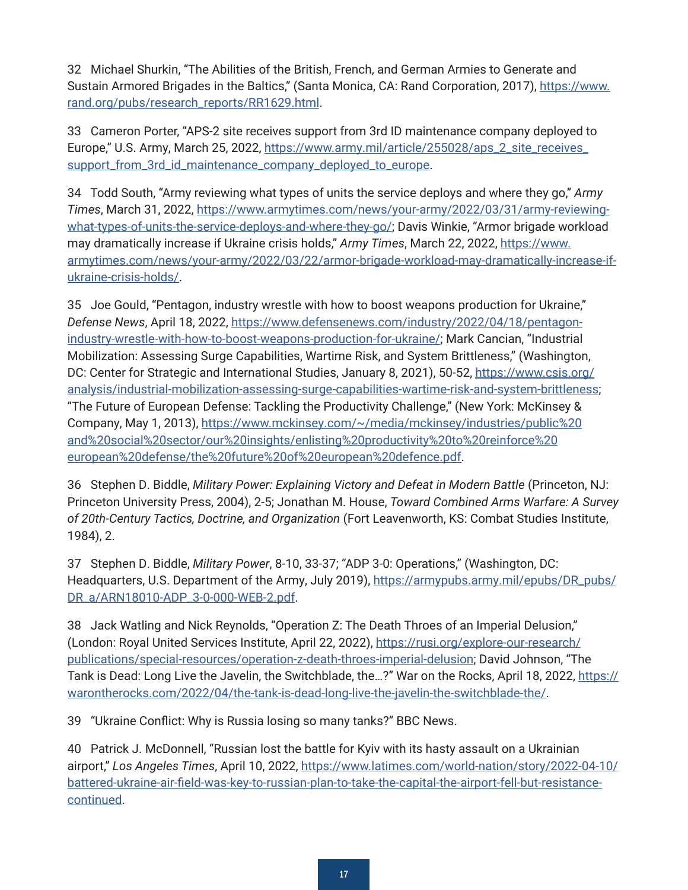<span id="page-16-0"></span>[32](#page-5-0) Michael Shurkin, "The Abilities of the British, French, and German Armies to Generate and Sustain Armored Brigades in the Baltics," (Santa Monica, CA: Rand Corporation, 2017), [https://www.](https://www.rand.org/pubs/research_reports/RR1629.html) [rand.org/pubs/research\\_reports/RR1629.html](https://www.rand.org/pubs/research_reports/RR1629.html).

[33](#page-5-0) Cameron Porter, "APS-2 site receives support from 3rd ID maintenance company deployed to Europe," U.S. Army, March 25, 2022, [https://www.army.mil/article/255028/aps\\_2\\_site\\_receives\\_](https://www.army.mil/article/255028/aps_2_site_receives_support_from_3rd_id_maintenance_company_deployed_to_europe) [support\\_from\\_3rd\\_id\\_maintenance\\_company\\_deployed\\_to\\_europe](https://www.army.mil/article/255028/aps_2_site_receives_support_from_3rd_id_maintenance_company_deployed_to_europe).

[34](#page-5-0) Todd South, "Army reviewing what types of units the service deploys and where they go," *Army Times*, March 31, 2022, [https://www.armytimes.com/news/your-army/2022/03/31/army-reviewing](https://www.armytimes.com/news/your-army/2022/03/31/army-reviewing-what-types-of-units-the-service-deploys-and-where-they-go/)[what-types-of-units-the-service-deploys-and-where-they-go/](https://www.armytimes.com/news/your-army/2022/03/31/army-reviewing-what-types-of-units-the-service-deploys-and-where-they-go/); Davis Winkie, "Armor brigade workload may dramatically increase if Ukraine crisis holds," *Army Times*, March 22, 2022, [https://www.](https://www.armytimes.com/news/your-army/2022/03/22/armor-brigade-workload-may-dramatically-increase-if-ukraine-crisis-holds/) [armytimes.com/news/your-army/2022/03/22/armor-brigade-workload-may-dramatically-increase-if](https://www.armytimes.com/news/your-army/2022/03/22/armor-brigade-workload-may-dramatically-increase-if-ukraine-crisis-holds/)[ukraine-crisis-holds/](https://www.armytimes.com/news/your-army/2022/03/22/armor-brigade-workload-may-dramatically-increase-if-ukraine-crisis-holds/).

[35](#page-5-0) Joe Gould, "Pentagon, industry wrestle with how to boost weapons production for Ukraine," *Defense News*, April 18, 2022, [https://www.defensenews.com/industry/2022/04/18/pentagon](https://www.defensenews.com/industry/2022/04/18/pentagon-industry-wrestle-with-how-to-boost-weapons-production-for-ukraine/)[industry-wrestle-with-how-to-boost-weapons-production-for-ukraine/](https://www.defensenews.com/industry/2022/04/18/pentagon-industry-wrestle-with-how-to-boost-weapons-production-for-ukraine/); Mark Cancian, "Industrial Mobilization: Assessing Surge Capabilities, Wartime Risk, and System Brittleness," (Washington, DC: Center for Strategic and International Studies, January 8, 2021), 50-52, [https://www.csis.org/](https://www.csis.org/analysis/industrial-mobilization-assessing-surge-capabilities-wartime-risk-and-system-brittleness) [analysis/industrial-mobilization-assessing-surge-capabilities-wartime-risk-and-system-brittleness](https://www.csis.org/analysis/industrial-mobilization-assessing-surge-capabilities-wartime-risk-and-system-brittleness); "The Future of European Defense: Tackling the Productivity Challenge," (New York: McKinsey & Company, May 1, 2013), [https://www.mckinsey.com/~/media/mckinsey/industries/public%20](https://www.mckinsey.com/~/media/mckinsey/industries/public%20and%20social%20sector/our%20insights/enlisting%20productivity%20to%20reinforce%20european%20defense/the%20future%20of%20european%20defence.pdf) [and%20social%20sector/our%20insights/enlisting%20productivity%20to%20reinforce%20](https://www.mckinsey.com/~/media/mckinsey/industries/public%20and%20social%20sector/our%20insights/enlisting%20productivity%20to%20reinforce%20european%20defense/the%20future%20of%20european%20defence.pdf) [european%20defense/the%20future%20of%20european%20defence.pdf.](https://www.mckinsey.com/~/media/mckinsey/industries/public%20and%20social%20sector/our%20insights/enlisting%20productivity%20to%20reinforce%20european%20defense/the%20future%20of%20european%20defence.pdf)

[36](#page-6-0) Stephen D. Biddle, *Military Power: Explaining Victory and Defeat in Modern Battle* (Princeton, NJ: Princeton University Press, 2004), 2-5; Jonathan M. House, *Toward Combined Arms Warfare: A Survey of 20th-Century Tactics, Doctrine, and Organization* (Fort Leavenworth, KS: Combat Studies Institute, 1984), 2.

[37](#page-6-0) Stephen D. Biddle, *Military Power*, 8-10, 33-37; "ADP 3-0: Operations," (Washington, DC: Headquarters, U.S. Department of the Army, July 2019), [https://armypubs.army.mil/epubs/DR\\_pubs/](https://armypubs.army.mil/epubs/DR_pubs/DR_a/ARN18010-ADP_3-0-000-WEB-2.pdf) [DR\\_a/ARN18010-ADP\\_3-0-000-WEB-2.pdf](https://armypubs.army.mil/epubs/DR_pubs/DR_a/ARN18010-ADP_3-0-000-WEB-2.pdf).

[38](#page-6-0) Jack Watling and Nick Reynolds, "Operation Z: The Death Throes of an Imperial Delusion," (London: Royal United Services Institute, April 22, 2022), [https://rusi.org/explore-our-research/](https://rusi.org/explore-our-research/publications/special-resources/operation-z-death-throes-imperial-delusion) [publications/special-resources/operation-z-death-throes-imperial-delusion](https://rusi.org/explore-our-research/publications/special-resources/operation-z-death-throes-imperial-delusion); David Johnson, "The Tank is Dead: Long Live the Javelin, the Switchblade, the…?" War on the Rocks, April 18, 2022[,](https://usarmywestpoint-my.sharepoint.com/personal/ryan_vanwie_westpoint_edu/Documents/Desktop/) [https://](https://warontherocks.com/2022/04/the-tank-is-dead-long-live-the-javelin-the-switchblade-the/) [warontherocks.com/2022/04/the-tank-is-dead-long-live-the-javelin-the-switchblade-the/](https://warontherocks.com/2022/04/the-tank-is-dead-long-live-the-javelin-the-switchblade-the/).

[39](#page-6-0) "Ukraine Conflict: Why is Russia losing so many tanks?" BBC News.

[40](#page-6-0) Patrick J. McDonnell, "Russian lost the battle for Kyiv with its hasty assault on a Ukrainian airport," *Los Angeles Times*, April 10, 2022[,](https://usarmywestpoint-my.sharepoint.com/personal/ryan_vanwie_westpoint_edu/Documents/Desktop/) [https://www.latimes.com/world-nation/story/2022-04-10/](https://www.latimes.com/world-nation/story/2022-04-10/battered-ukraine-air-field-was-key-to-russian-plan-to-take-the-capital-the-airport-fell-but-resistance-continued) [battered-ukraine-air-field-was-key-to-russian-plan-to-take-the-capital-the-airport-fell-but-resistance](https://www.latimes.com/world-nation/story/2022-04-10/battered-ukraine-air-field-was-key-to-russian-plan-to-take-the-capital-the-airport-fell-but-resistance-continued)[continued.](https://www.latimes.com/world-nation/story/2022-04-10/battered-ukraine-air-field-was-key-to-russian-plan-to-take-the-capital-the-airport-fell-but-resistance-continued)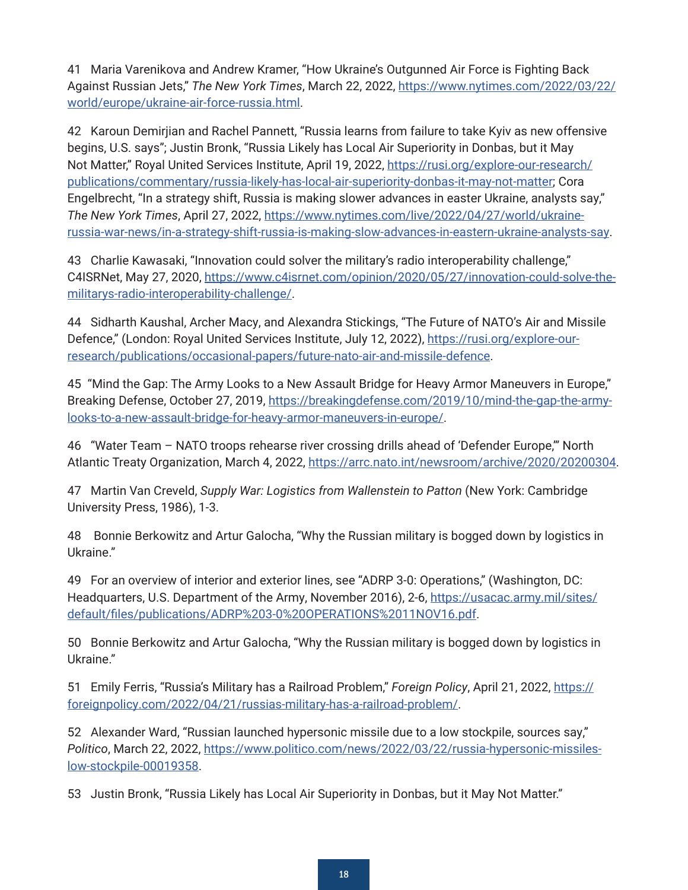<span id="page-17-0"></span>[41](#page-6-0) Maria Varenikova and Andrew Kramer, "How Ukraine's Outgunned Air Force is Fighting Back Against Russian Jets," *The New York Times*, March 22, 2022, [https://www.nytimes.com/2022/03/22/](https://www.nytimes.com/2022/03/22/world/europe/ukraine-air-force-russia.html) [world/europe/ukraine-air-force-russia.html](https://www.nytimes.com/2022/03/22/world/europe/ukraine-air-force-russia.html).

[42](#page-6-0) Karoun Demirjian and Rachel Pannett, "Russia learns from failure to take Kyiv as new offensive begins, U.S. says"; Justin Bronk, "Russia Likely has Local Air Superiority in Donbas, but it May Not Matter," Royal United Services Institute, April 19, 2022, [https://rusi.org/explore-our-research/](https://rusi.org/explore-our-research/publications/commentary/russia-likely-has-local-air-superiority-donbas-it-may-not-matter) [publications/commentary/russia-likely-has-local-air-superiority-donbas-it-may-not-matter](https://rusi.org/explore-our-research/publications/commentary/russia-likely-has-local-air-superiority-donbas-it-may-not-matter); Cora Engelbrecht, "In a strategy shift, Russia is making slower advances in easter Ukraine, analysts say," *The New York Times*, April 27, 2022, [https://www.nytimes.com/live/2022/04/27/world/ukraine](https://www.nytimes.com/live/2022/04/27/world/ukraine-russia-war-news/in-a-strategy-shift-russia-is-making-slow-advances-in-eastern-ukraine-analysts-say)[russia-war-news/in-a-strategy-shift-russia-is-making-slow-advances-in-eastern-ukraine-analysts-say](https://www.nytimes.com/live/2022/04/27/world/ukraine-russia-war-news/in-a-strategy-shift-russia-is-making-slow-advances-in-eastern-ukraine-analysts-say).

[43](#page-6-0) Charlie Kawasaki, "Innovation could solver the military's radio interoperability challenge," C4ISRNet, May 27, 2020, [https://www.c4isrnet.com/opinion/2020/05/27/innovation-could-solve-the](https://www.c4isrnet.com/opinion/2020/05/27/innovation-could-solve-the-militarys-radio-interoperability-challenge/)[militarys-radio-interoperability-challenge/.](https://www.c4isrnet.com/opinion/2020/05/27/innovation-could-solve-the-militarys-radio-interoperability-challenge/)

[44](#page-6-0) Sidharth Kaushal, Archer Macy, and Alexandra Stickings, "The Future of NATO's Air and Missile Defence," (London: Royal United Services Institute, July 12, 2022), [https://rusi.org/explore-our](https://rusi.org/explore-our-research/publications/occasional-papers/future-nato-air-and-missile-defence)[research/publications/occasional-papers/future-nato-air-and-missile-defence](https://rusi.org/explore-our-research/publications/occasional-papers/future-nato-air-and-missile-defence).

[45](#page-6-0) "Mind the Gap: The Army Looks to a New Assault Bridge for Heavy Armor Maneuvers in Europe," Breaking Defense, October 27, 2019, [https://breakingdefense.com/2019/10/mind-the-gap-the-army](https://breakingdefense.com/2019/10/mind-the-gap-the-army-looks-to-a-new-assault-bridge-for-heavy-armor-maneuvers-in-europe/)[looks-to-a-new-assault-bridge-for-heavy-armor-maneuvers-in-europe/.](https://breakingdefense.com/2019/10/mind-the-gap-the-army-looks-to-a-new-assault-bridge-for-heavy-armor-maneuvers-in-europe/)

[46](#page-6-0) "Water Team – NATO troops rehearse river crossing drills ahead of 'Defender Europe,'" North Atlantic Treaty Organization, March 4, 2022, <https://arrc.nato.int/newsroom/archive/2020/20200304>.

[47](#page-6-0) Martin Van Creveld, *Supply War: Logistics from Wallenstein to Patton* (New York: Cambridge University Press, 1986), 1-3.

[48](#page-7-0) Bonnie Berkowitz and Artur Galocha, "Why the Russian military is bogged down by logistics in Ukraine."

[49](#page-7-0) For an overview of interior and exterior lines, see "ADRP 3-0: Operations," (Washington, DC: Headquarters, U.S. Department of the Army, November 2016), 2-6, [https://usacac.army.mil/sites/](https://usacac.army.mil/sites/default/files/publications/ADRP%203-0%20OPERATIONS%2011NOV16.pdf) [default/files/publications/ADRP%203-0%20OPERATIONS%2011NOV16.pdf](https://usacac.army.mil/sites/default/files/publications/ADRP%203-0%20OPERATIONS%2011NOV16.pdf).

[50](#page-7-0) Bonnie Berkowitz and Artur Galocha, "Why the Russian military is bogged down by logistics in Ukraine."

[51](#page-7-0) Emily Ferris, "Russia's Military has a Railroad Problem," *Foreign Policy*, April 21, 2022, [https://](https://foreignpolicy.com/2022/04/21/russias-military-has-a-railroad-problem/) [foreignpolicy.com/2022/04/21/russias-military-has-a-railroad-problem/.](https://foreignpolicy.com/2022/04/21/russias-military-has-a-railroad-problem/)

[52](#page-7-0) Alexander Ward, "Russian launched hypersonic missile due to a low stockpile, sources say," *Politico*, March 22, 2022, [https://www.politico.com/news/2022/03/22/russia-hypersonic-missiles](https://www.politico.com/news/2022/03/22/russia-hypersonic-missiles-low-stockpile-00019358)[low-stockpile-00019358.](https://www.politico.com/news/2022/03/22/russia-hypersonic-missiles-low-stockpile-00019358)

[53](#page-7-0) Justin Bronk, "Russia Likely has Local Air Superiority in Donbas, but it May Not Matter."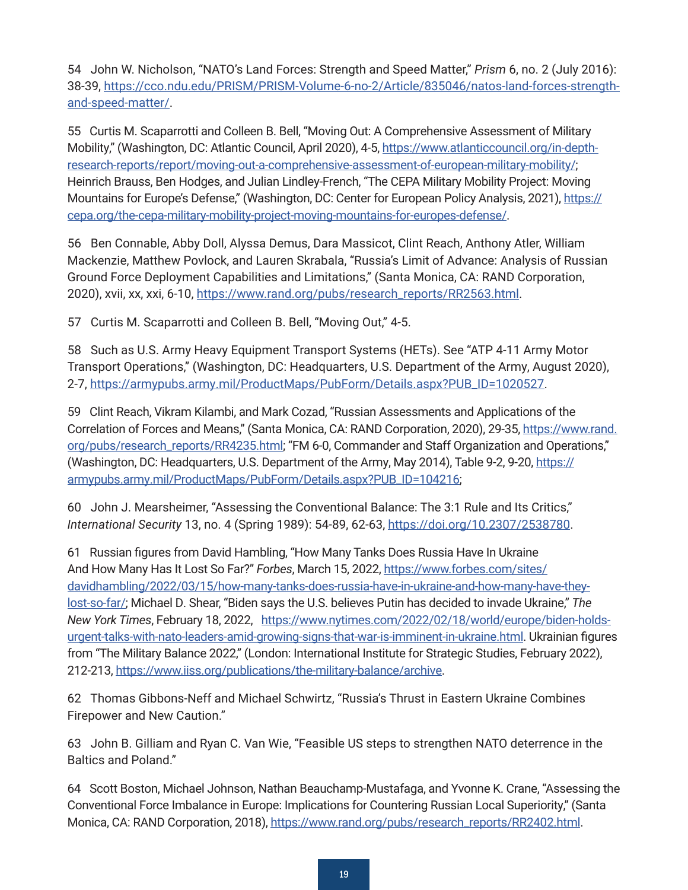<span id="page-18-0"></span>[54](#page-7-0) John W. Nicholson, "NATO's Land Forces: Strength and Speed Matter," *Prism* 6, no. 2 (July 2016): 38-39, [https://cco.ndu.edu/PRISM/PRISM-Volume-6-no-2/Article/835046/natos-land-forces-strength](https://cco.ndu.edu/PRISM/PRISM-Volume-6-no-2/Article/835046/natos-land-forces-strength-and-speed-matter/)[and-speed-matter/.](https://cco.ndu.edu/PRISM/PRISM-Volume-6-no-2/Article/835046/natos-land-forces-strength-and-speed-matter/)

[55](#page-7-0)  Curtis M. Scaparrotti and Colleen B. Bell, "Moving Out: A Comprehensive Assessment of Military Mobility," (Washington, DC: Atlantic Council, April 2020), 4-5, [https://www.atlanticcouncil.org/in-depth](https://www.atlanticcouncil.org/in-depth-research-reports/report/moving-out-a-comprehensive-assessment-of-european-military-mobility/)[research-reports/report/moving-out-a-comprehensive-assessment-of-european-military-mobility/](https://www.atlanticcouncil.org/in-depth-research-reports/report/moving-out-a-comprehensive-assessment-of-european-military-mobility/); Heinrich Brauss, Ben Hodges, and Julian Lindley-French, "The CEPA Military Mobility Project: Moving Mountains for Europe's Defense," (Washington, DC: Center for European Policy Analysis, 2021), [https://](https://cepa.org/the-cepa-military-mobility-project-moving-mountains-for-europes-defense/) [cepa.org/the-cepa-military-mobility-project-moving-mountains-for-europes-defense/](https://cepa.org/the-cepa-military-mobility-project-moving-mountains-for-europes-defense/).

[56](#page-7-0) Ben Connable, Abby Doll, Alyssa Demus, Dara Massicot, Clint Reach, Anthony Atler, William Mackenzie, Matthew Povlock, and Lauren Skrabala, "Russia's Limit of Advance: Analysis of Russian Ground Force Deployment Capabilities and Limitations," (Santa Monica, CA: RAND Corporation, 2020), xvii, xx, xxi, 6-10, [https://www.rand.org/pubs/research\\_reports/RR2563.html](https://www.rand.org/pubs/research_reports/RR2563.html).

[57](#page-7-0) Curtis M. Scaparrotti and Colleen B. Bell, "Moving Out," 4-5.

[58](#page-8-0) Such as U.S. Army Heavy Equipment Transport Systems (HETs). See "ATP 4-11 Army Motor Transport Operations," (Washington, DC: Headquarters, U.S. Department of the Army, August 2020), 2-7, [https://armypubs.army.mil/ProductMaps/PubForm/Details.aspx?PUB\\_ID=1020527](https://armypubs.army.mil/ProductMaps/PubForm/Details.aspx?PUB_ID=1020527).

[59](#page-8-0)  Clint Reach, Vikram Kilambi, and Mark Cozad, "Russian Assessments and Applications of the Correlation of Forces and Means," (Santa Monica, CA: RAND Corporation, 2020), 29-35, [https://www.rand.](https://www.rand.org/pubs/research_reports/RR4235.html) [org/pubs/research\\_reports/RR4235.html;](https://www.rand.org/pubs/research_reports/RR4235.html) "FM 6-0, Commander and Staff Organization and Operations," (Washington, DC: Headquarters, U.S. Department of the Army, May 2014), Table 9-2, 9-20, [https://](https://armypubs.army.mil/ProductMaps/PubForm/Details.aspx?PUB_ID=104216) [armypubs.army.mil/ProductMaps/PubForm/Details.aspx?PUB\\_ID=104216](https://armypubs.army.mil/ProductMaps/PubForm/Details.aspx?PUB_ID=104216);

[60](#page-8-0) John J. Mearsheimer, "Assessing the Conventional Balance: The 3:1 Rule and Its Critics," *International Security* 13, no. 4 (Spring 1989): 54-89, 62-63,<https://doi.org/10.2307/2538780>.

[61](#page-8-0)  Russian figures from David Hambling, "How Many Tanks Does Russia Have In Ukraine And How Many Has It Lost So Far?" *Forbes*, March 15, 2022, [https://www.forbes.com/sites/](https://www.forbes.com/sites/davidhambling/2022/03/15/how-many-tanks-does-russia-have-in-ukraine-and-how-many-have-they-lost-so-far/) [davidhambling/2022/03/15/how-many-tanks-does-russia-have-in-ukraine-and-how-many-have-they](https://www.forbes.com/sites/davidhambling/2022/03/15/how-many-tanks-does-russia-have-in-ukraine-and-how-many-have-they-lost-so-far/)[lost-so-far/](https://www.forbes.com/sites/davidhambling/2022/03/15/how-many-tanks-does-russia-have-in-ukraine-and-how-many-have-they-lost-so-far/); Michael D. Shear, "Biden says the U.S. believes Putin has decided to invade Ukraine," *The New York Times*, February 18, 2022, [https://www.nytimes.com/2022/02/18/world/europe/biden-holds](https://www.nytimes.com/2022/02/18/world/europe/biden-holds-urgent-talks-with-nato-leaders-amid-growing-signs-that-war-is-imminent-in-ukraine.html)[urgent-talks-with-nato-leaders-amid-growing-signs-that-war-is-imminent-in-ukraine.html](https://www.nytimes.com/2022/02/18/world/europe/biden-holds-urgent-talks-with-nato-leaders-amid-growing-signs-that-war-is-imminent-in-ukraine.html). Ukrainian figures from "The Military Balance 2022," (London: International Institute for Strategic Studies, February 2022), 212-213, <https://www.iiss.org/publications/the-military-balance/archive>.

[62](#page-9-0) Thomas Gibbons-Neff and Michael Schwirtz, "Russia's Thrust in Eastern Ukraine Combines Firepower and New Caution."

[63](#page-9-0) John B. Gilliam and Ryan C. Van Wie, "Feasible US steps to strengthen NATO deterrence in the Baltics and Poland."

[64](#page-9-0)  Scott Boston, Michael Johnson, Nathan Beauchamp-Mustafaga, and Yvonne K. Crane, "Assessing the Conventional Force Imbalance in Europe: Implications for Countering Russian Local Superiority," (Santa Monica, CA: RAND Corporation, 2018), [https://www.rand.org/pubs/research\\_reports/RR2402.html](https://www.rand.org/pubs/research_reports/RR2402.html).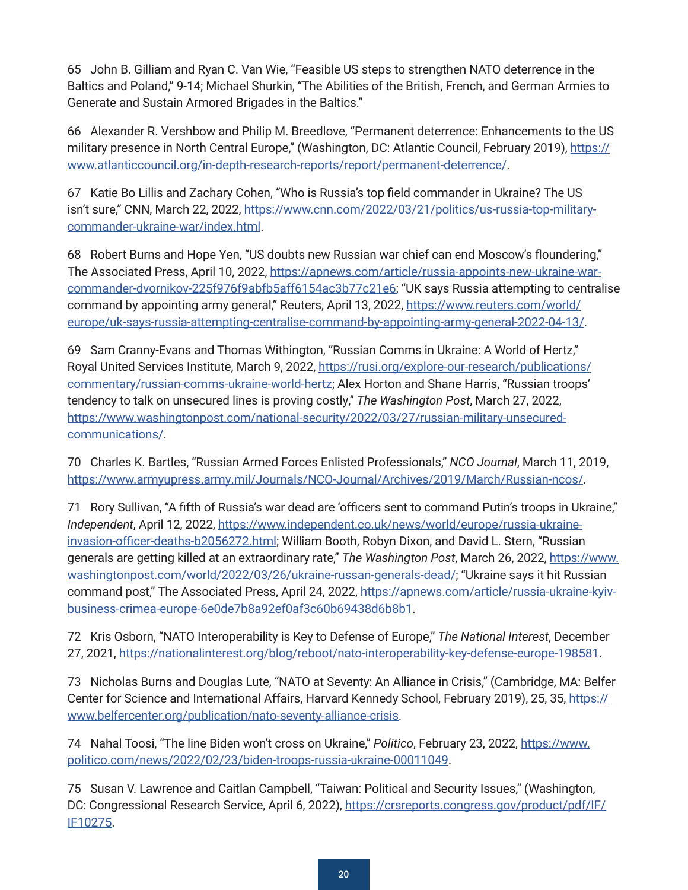<span id="page-19-0"></span>[65](#page-9-0) John B. Gilliam and Ryan C. Van Wie, "Feasible US steps to strengthen NATO deterrence in the Baltics and Poland," 9-14; Michael Shurkin, "The Abilities of the British, French, and German Armies to Generate and Sustain Armored Brigades in the Baltics."

[66](#page-9-0) Alexander R. Vershbow and Philip M. Breedlove, "Permanent deterrence: Enhancements to the US military presence in North Central Europe," (Washington, DC: Atlantic Council, February 2019), [https://](https://www.atlanticcouncil.org/in-depth-research-reports/report/permanent-deterrence/) [www.atlanticcouncil.org/in-depth-research-reports/report/permanent-deterrence/](https://www.atlanticcouncil.org/in-depth-research-reports/report/permanent-deterrence/).

[67](#page-9-0) Katie Bo Lillis and Zachary Cohen, "Who is Russia's top field commander in Ukraine? The US isn't sure," CNN, March 22, 2022, [https://www.cnn.com/2022/03/21/politics/us-russia-top-military](https://www.cnn.com/2022/03/21/politics/us-russia-top-military-commander-ukraine-war/index.html)[commander-ukraine-war/index.html](https://www.cnn.com/2022/03/21/politics/us-russia-top-military-commander-ukraine-war/index.html).

[68](#page-9-0) Robert Burns and Hope Yen, "US doubts new Russian war chief can end Moscow's floundering," The Associated Press, April 10, 2022, [https://apnews.com/article/russia-appoints-new-ukraine-war](https://apnews.com/article/russia-appoints-new-ukraine-war-commander-dvornikov-225f976f9abfb5aff6154ac3b77c21e6)[commander-dvornikov-225f976f9abfb5aff6154ac3b77c21e6](https://apnews.com/article/russia-appoints-new-ukraine-war-commander-dvornikov-225f976f9abfb5aff6154ac3b77c21e6); "UK says Russia attempting to centralise command by appointing army general," Reuters, April 13, 2022, [https://www.reuters.com/world/](https://www.reuters.com/world/europe/uk-says-russia-attempting-centralise-command-by-appointing-army-general-2022-04-13/) [europe/uk-says-russia-attempting-centralise-command-by-appointing-army-general-2022-04-13/.](https://www.reuters.com/world/europe/uk-says-russia-attempting-centralise-command-by-appointing-army-general-2022-04-13/)

[69](#page-9-0) Sam Cranny-Evans and Thomas Withington, "Russian Comms in Ukraine: A World of Hertz," Royal United Services Institute, March 9, 2022, [https://rusi.org/explore-our-research/publications/](https://rusi.org/explore-our-research/publications/commentary/russian-comms-ukraine-world-hertz) [commentary/russian-comms-ukraine-world-hertz](https://rusi.org/explore-our-research/publications/commentary/russian-comms-ukraine-world-hertz); Alex Horton and Shane Harris, "Russian troops' tendency to talk on unsecured lines is proving costly," *The Washington Post*, March 27, 2022, [https://www.washingtonpost.com/national-security/2022/03/27/russian-military-unsecured](https://www.washingtonpost.com/national-security/2022/03/27/russian-military-unsecured-communications/)[communications/.](https://www.washingtonpost.com/national-security/2022/03/27/russian-military-unsecured-communications/)

[70](#page-9-0) Charles K. Bartles, "Russian Armed Forces Enlisted Professionals," *NCO Journal*, March 11, 2019, <https://www.armyupress.army.mil/Journals/NCO-Journal/Archives/2019/March/Russian-ncos/>.

[71](#page-10-0) Rory Sullivan, "A fifth of Russia's war dead are 'officers sent to command Putin's troops in Ukraine," *Independent*, April 12, 2022, [https://www.independent.co.uk/news/world/europe/russia-ukraine](https://www.independent.co.uk/news/world/europe/russia-ukraine-invasion-officer-deaths-b2056272.html)[invasion-officer-deaths-b2056272.html](https://www.independent.co.uk/news/world/europe/russia-ukraine-invasion-officer-deaths-b2056272.html); William Booth, Robyn Dixon, and David L. Stern, "Russian generals are getting killed at an extraordinary rate," *The Washington Post*, March 26, 2022, [https://www.](https://www.washingtonpost.com/world/2022/03/26/ukraine-russan-generals-dead/) [washingtonpost.com/world/2022/03/26/ukraine-russan-generals-dead/](https://www.washingtonpost.com/world/2022/03/26/ukraine-russan-generals-dead/); "Ukraine says it hit Russian command post," The Associated Press, April 24, 2022, [https://apnews.com/article/russia-ukraine-kyiv](https://apnews.com/article/russia-ukraine-kyiv-business-crimea-europe-6e0de7b8a92ef0af3c60b69438d6b8b1)[business-crimea-europe-6e0de7b8a92ef0af3c60b69438d6b8b1](https://apnews.com/article/russia-ukraine-kyiv-business-crimea-europe-6e0de7b8a92ef0af3c60b69438d6b8b1).

[72](#page-10-0) Kris Osborn, "NATO Interoperability is Key to Defense of Europe," *The National Interest*, December 27, 2021, <https://nationalinterest.org/blog/reboot/nato-interoperability-key-defense-europe-198581>.

[73](#page-10-0) Nicholas Burns and Douglas Lute, "NATO at Seventy: An Alliance in Crisis," (Cambridge, MA: Belfer Center for Science and International Affairs, Harvard Kennedy School, February 2019), 25, 35, [https://](https://www.belfercenter.org/publication/nato-seventy-alliance-crisis) [www.belfercenter.org/publication/nato-seventy-alliance-crisis.](https://www.belfercenter.org/publication/nato-seventy-alliance-crisis)

[74](#page-10-0) Nahal Toosi, "The line Biden won't cross on Ukraine," *Politico*, February 23, 2022, [https://www.](https://www.politico.com/news/2022/02/23/biden-troops-russia-ukraine-00011049) [politico.com/news/2022/02/23/biden-troops-russia-ukraine-00011049](https://www.politico.com/news/2022/02/23/biden-troops-russia-ukraine-00011049).

[75](#page-10-0) Susan V. Lawrence and Caitlan Campbell, "Taiwan: Political and Security Issues," (Washington, DC: Congressional Research Service, April 6, 2022), [https://crsreports.congress.gov/product/pdf/IF/](https://crsreports.congress.gov/product/pdf/IF/IF10275) [IF10275](https://crsreports.congress.gov/product/pdf/IF/IF10275).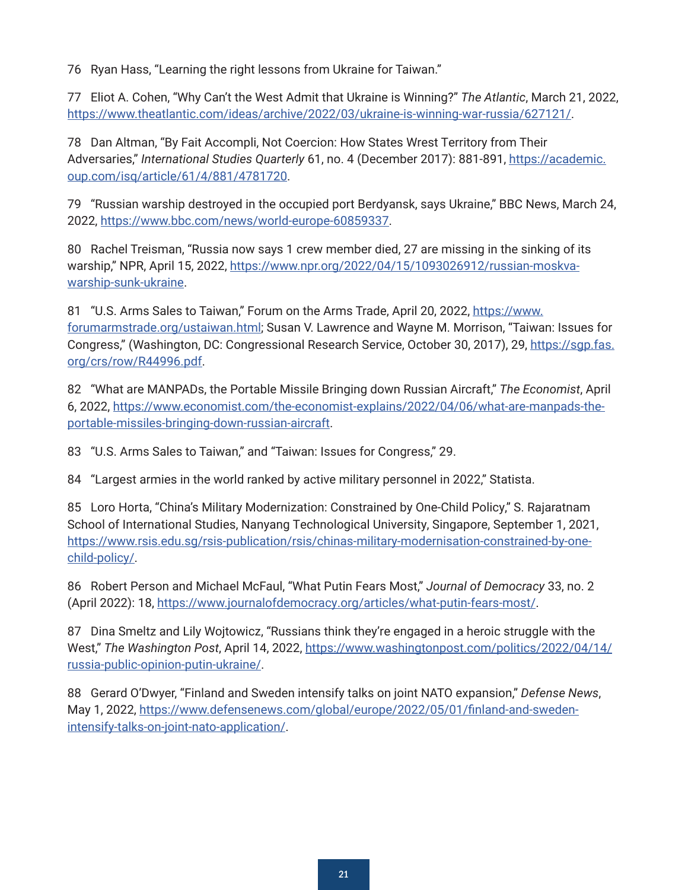<span id="page-20-0"></span>[76](#page-10-0) Ryan Hass, "Learning the right lessons from Ukraine for Taiwan."

[77](#page-11-0) Eliot A. Cohen, "Why Can't the West Admit that Ukraine is Winning?" *The Atlantic*, March 21, 2022, <https://www.theatlantic.com/ideas/archive/2022/03/ukraine-is-winning-war-russia/627121/>.

[78](#page-11-0) Dan Altman, "By Fait Accompli, Not Coercion: How States Wrest Territory from Their Adversaries," *International Studies Quarterly* 61, no. 4 (December 2017): 881-891, [https://academic.](https://academic.oup.com/isq/article/61/4/881/4781720) [oup.com/isq/article/61/4/881/4781720.](https://academic.oup.com/isq/article/61/4/881/4781720)

[79](#page-11-0) "Russian warship destroyed in the occupied port Berdyansk, says Ukraine," BBC News, March 24, 2022, <https://www.bbc.com/news/world-europe-60859337>.

[80](#page-11-0) Rachel Treisman, "Russia now says 1 crew member died, 27 are missing in the sinking of its warship," NPR, April 15, 2022, [https://www.npr.org/2022/04/15/1093026912/russian-moskva](https://www.npr.org/2022/04/15/1093026912/russian-moskva-warship-sunk-ukraine)[warship-sunk-ukraine.](https://www.npr.org/2022/04/15/1093026912/russian-moskva-warship-sunk-ukraine)

[81](#page-11-0) "U.S. Arms Sales to Taiwan," Forum on the Arms Trade, April 20, 2022, [https://www.](https://www.forumarmstrade.org/ustaiwan.html) [forumarmstrade.org/ustaiwan.html](https://www.forumarmstrade.org/ustaiwan.html); Susan V. Lawrence and Wayne M. Morrison, "Taiwan: Issues for Congress," (Washington, DC: Congressional Research Service, October 30, 2017), 29, [https://sgp.fas.](https://sgp.fas.org/crs/row/R44996.pdf) [org/crs/row/R44996.pdf.](https://sgp.fas.org/crs/row/R44996.pdf)

[82](#page-11-0) "What are MANPADs, the Portable Missile Bringing down Russian Aircraft," *The Economist*, April 6, 2022, [https://www.economist.com/the-economist-explains/2022/04/06/what-are-manpads-the](https://www.economist.com/the-economist-explains/2022/04/06/what-are-manpads-the-portable-missiles-bringing-down-russian-aircraft)[portable-missiles-bringing-down-russian-aircraft.](https://www.economist.com/the-economist-explains/2022/04/06/what-are-manpads-the-portable-missiles-bringing-down-russian-aircraft)

[83](#page-11-0) "U.S. Arms Sales to Taiwan," and "Taiwan: Issues for Congress," 29.

[84](#page-11-0) "Largest armies in the world ranked by active military personnel in 2022," Statista.

[85](#page-11-0) Loro Horta, "China's Military Modernization: Constrained by One-Child Policy," S. Rajaratnam School of International Studies, Nanyang Technological University, Singapore, September 1, 2021, [https://www.rsis.edu.sg/rsis-publication/rsis/chinas-military-modernisation-constrained-by-one](https://www.rsis.edu.sg/rsis-publication/rsis/chinas-military-modernisation-constrained-by-one-child-policy/)[child-policy/.](https://www.rsis.edu.sg/rsis-publication/rsis/chinas-military-modernisation-constrained-by-one-child-policy/)

[86](#page-11-0) Robert Person and Michael McFaul, "What Putin Fears Most," *Journal of Democracy* 33, no. 2 (April 2022): 18,<https://www.journalofdemocracy.org/articles/what-putin-fears-most/>.

[87](#page-11-0) Dina Smeltz and Lily Wojtowicz, "Russians think they're engaged in a heroic struggle with the West," *The Washington Post*, April 14, 2022, [https://www.washingtonpost.com/politics/2022/04/14/](https://www.washingtonpost.com/politics/2022/04/14/russia-public-opinion-putin-ukraine/) [russia-public-opinion-putin-ukraine/](https://www.washingtonpost.com/politics/2022/04/14/russia-public-opinion-putin-ukraine/).

[88](#page-12-0) Gerard O'Dwyer, "Finland and Sweden intensify talks on joint NATO expansion," *Defense News*, May 1, 2022, [https://www.defensenews.com/global/europe/2022/05/01/finland-and-sweden](https://www.defensenews.com/global/europe/2022/05/01/finland-and-sweden-intensify-talks-on-joint-nato-application/)[intensify-talks-on-joint-nato-application/](https://www.defensenews.com/global/europe/2022/05/01/finland-and-sweden-intensify-talks-on-joint-nato-application/).